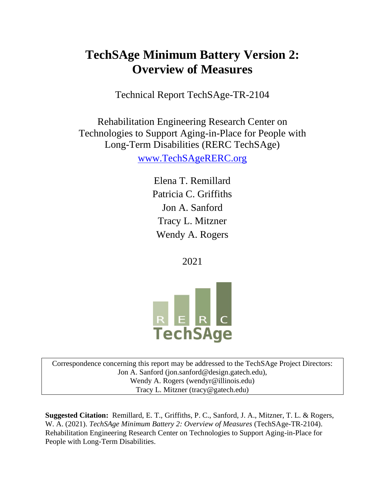# **TechSAge Minimum Battery Version 2: Overview of Measures**

Technical Report TechSAge-TR-2104

Rehabilitation Engineering Research Center on Technologies to Support Aging-in-Place for People with Long-Term Disabilities (RERC TechSAge) [www.TechSAgeRERC.org](http://www.techsagererc.org/)

> Elena T. Remillard Patricia C. Griffiths Jon A. Sanford Tracy L. Mitzner Wendy A. Rogers

> > 2021



Correspondence concerning this report may be addressed to the TechSAge Project Directors: Jon A. Sanford (jon.sanford@design.gatech.edu), Wendy A. Rogers (wendyr@illinois.edu) Tracy L. Mitzner (tracy@gatech.edu)

**Suggested Citation:** Remillard, E. T., Griffiths, P. C., Sanford, J. A., Mitzner, T. L. & Rogers, W. A. (2021). *TechSAge Minimum Battery 2: Overview of Measures* (TechSAge-TR-2104). Rehabilitation Engineering Research Center on Technologies to Support Aging-in-Place for People with Long-Term Disabilities.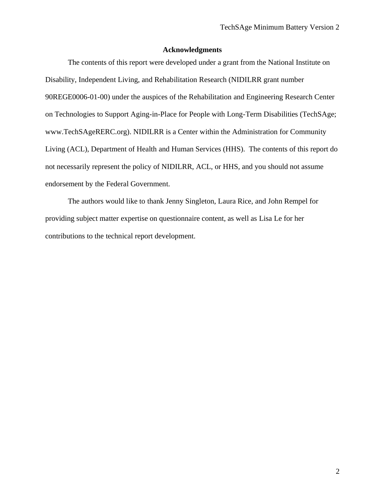#### **Acknowledgments**

The contents of this report were developed under a grant from the National Institute on Disability, Independent Living, and Rehabilitation Research (NIDILRR grant number 90REGE0006-01-00) under the auspices of the Rehabilitation and Engineering Research Center on Technologies to Support Aging-in-Place for People with Long-Term Disabilities (TechSAge; www.TechSAgeRERC.org). NIDILRR is a Center within the Administration for Community Living (ACL), Department of Health and Human Services (HHS). The contents of this report do not necessarily represent the policy of NIDILRR, ACL, or HHS, and you should not assume endorsement by the Federal Government.

The authors would like to thank Jenny Singleton, Laura Rice, and John Rempel for providing subject matter expertise on questionnaire content, as well as Lisa Le for her contributions to the technical report development.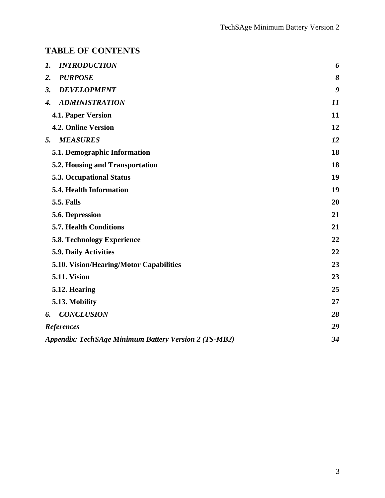## **TABLE OF CONTENTS**

| <b>INTRODUCTION</b><br>1.                                    | 6  |
|--------------------------------------------------------------|----|
| <b>PURPOSE</b><br>2.                                         | 8  |
| <b>DEVELOPMENT</b><br>3.                                     | 9  |
| <b>ADMINISTRATION</b><br>4.                                  | 11 |
| <b>4.1. Paper Version</b>                                    | 11 |
| <b>4.2. Online Version</b>                                   | 12 |
| <b>MEASURES</b><br>5.                                        | 12 |
| 5.1. Demographic Information                                 | 18 |
| <b>5.2. Housing and Transportation</b>                       | 18 |
| <b>5.3. Occupational Status</b>                              | 19 |
| 5.4. Health Information                                      | 19 |
| <b>5.5. Falls</b>                                            | 20 |
| 5.6. Depression                                              | 21 |
| <b>5.7. Health Conditions</b>                                | 21 |
| <b>5.8. Technology Experience</b>                            | 22 |
| 5.9. Daily Activities                                        | 22 |
| 5.10. Vision/Hearing/Motor Capabilities                      | 23 |
| <b>5.11. Vision</b>                                          | 23 |
| 5.12. Hearing                                                | 25 |
| 5.13. Mobility                                               | 27 |
| <b>CONCLUSION</b><br>6.                                      | 28 |
| <b>References</b>                                            | 29 |
| <b>Appendix: TechSAge Minimum Battery Version 2 (TS-MB2)</b> | 34 |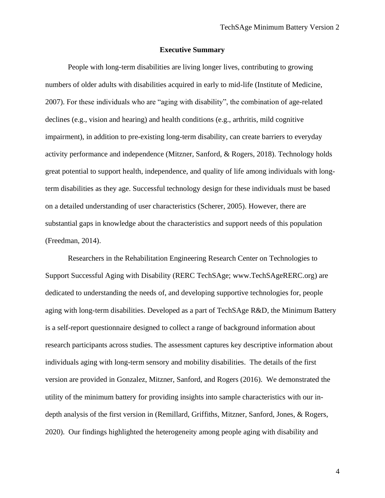#### **Executive Summary**

People with long-term disabilities are living longer lives, contributing to growing numbers of older adults with disabilities acquired in early to mid-life (Institute of Medicine, 2007). For these individuals who are "aging with disability", the combination of age-related declines (e.g., vision and hearing) and health conditions (e.g., arthritis, mild cognitive impairment), in addition to pre-existing long-term disability, can create barriers to everyday activity performance and independence (Mitzner, Sanford, & Rogers, 2018). Technology holds great potential to support health, independence, and quality of life among individuals with longterm disabilities as they age. Successful technology design for these individuals must be based on a detailed understanding of user characteristics (Scherer, 2005). However, there are substantial gaps in knowledge about the characteristics and support needs of this population (Freedman, 2014).

Researchers in the Rehabilitation Engineering Research Center on Technologies to Support Successful Aging with Disability (RERC TechSAge; www.TechSAgeRERC.org) are dedicated to understanding the needs of, and developing supportive technologies for, people aging with long-term disabilities. Developed as a part of TechSAge R&D, the Minimum Battery is a self-report questionnaire designed to collect a range of background information about research participants across studies. The assessment captures key descriptive information about individuals aging with long-term sensory and mobility disabilities. The details of the first version are provided in Gonzalez, Mitzner, Sanford, and Rogers (2016). We demonstrated the utility of the minimum battery for providing insights into sample characteristics with our indepth analysis of the first version in (Remillard, Griffiths, Mitzner, Sanford, Jones, & Rogers, 2020). Our findings highlighted the heterogeneity among people aging with disability and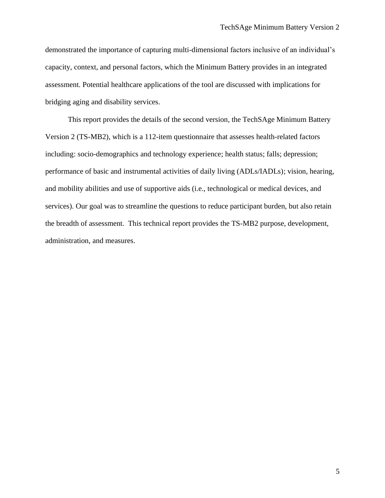demonstrated the importance of capturing multi-dimensional factors inclusive of an individual's capacity, context, and personal factors, which the Minimum Battery provides in an integrated assessment. Potential healthcare applications of the tool are discussed with implications for bridging aging and disability services.

This report provides the details of the second version, the TechSAge Minimum Battery Version 2 (TS-MB2), which is a 112-item questionnaire that assesses health-related factors including: socio-demographics and technology experience; health status; falls; depression; performance of basic and instrumental activities of daily living (ADLs/IADLs); vision, hearing, and mobility abilities and use of supportive aids (i.e., technological or medical devices, and services). Our goal was to streamline the questions to reduce participant burden, but also retain the breadth of assessment. This technical report provides the TS-MB2 purpose, development, administration, and measures.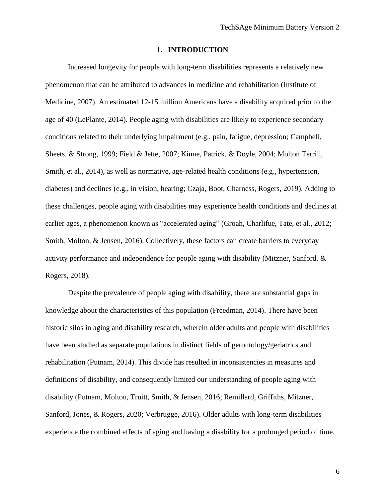#### **1. INTRODUCTION**

Increased longevity for people with long-term disabilities represents a relatively new phenomenon that can be attributed to advances in medicine and rehabilitation (Institute of Medicine, 2007). An estimated 12-15 million Americans have a disability acquired prior to the age of 40 (LePlante, 2014). People aging with disabilities are likely to experience secondary conditions related to their underlying impairment (e.g., pain, fatigue, depression; Campbell, Sheets, & Strong, 1999; Field & Jette, 2007; Kinne, Patrick, & Doyle, 2004; Molton Terrill, Smith, et al., 2014), as well as normative, age-related health conditions (e.g., hypertension, diabetes) and declines (e.g., in vision, hearing; Czaja, Boot, Charness, Rogers, 2019). Adding to these challenges, people aging with disabilities may experience health conditions and declines at earlier ages, a phenomenon known as "accelerated aging" (Groah, Charlifue, Tate, et al., 2012; Smith, Molton, & Jensen, 2016). Collectively, these factors can create barriers to everyday activity performance and independence for people aging with disability (Mitzner, Sanford, & Rogers, 2018).

Despite the prevalence of people aging with disability, there are substantial gaps in knowledge about the characteristics of this population (Freedman, 2014). There have been historic silos in aging and disability research, wherein older adults and people with disabilities have been studied as separate populations in distinct fields of gerontology/geriatrics and rehabilitation (Putnam, 2014). This divide has resulted in inconsistencies in measures and definitions of disability, and consequently limited our understanding of people aging with disability (Putnam, Molton, Truitt, Smith, & Jensen, 2016; Remillard, Griffiths, Mitzner, Sanford, Jones, & Rogers, 2020; Verbrugge, 2016). Older adults with long-term disabilities experience the combined effects of aging and having a disability for a prolonged period of time.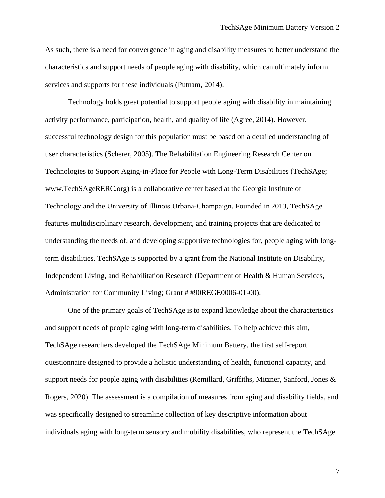As such, there is a need for convergence in aging and disability measures to better understand the characteristics and support needs of people aging with disability, which can ultimately inform services and supports for these individuals (Putnam, 2014).

Technology holds great potential to support people aging with disability in maintaining activity performance, participation, health, and quality of life (Agree, 2014). However, successful technology design for this population must be based on a detailed understanding of user characteristics (Scherer, 2005). The Rehabilitation Engineering Research Center on Technologies to Support Aging-in-Place for People with Long-Term Disabilities (TechSAge; www.TechSAgeRERC.org) is a collaborative center based at the Georgia Institute of Technology and the University of Illinois Urbana-Champaign. Founded in 2013, TechSAge features multidisciplinary research, development, and training projects that are dedicated to understanding the needs of, and developing supportive technologies for, people aging with longterm disabilities. TechSAge is supported by a grant from the National Institute on Disability, Independent Living, and Rehabilitation Research (Department of Health & Human Services, Administration for Community Living; Grant # #90REGE0006-01-00).

One of the primary goals of TechSAge is to expand knowledge about the characteristics and support needs of people aging with long-term disabilities. To help achieve this aim, TechSAge researchers developed the TechSAge Minimum Battery, the first self-report questionnaire designed to provide a holistic understanding of health, functional capacity, and support needs for people aging with disabilities (Remillard, Griffiths, Mitzner, Sanford, Jones & Rogers, 2020). The assessment is a compilation of measures from aging and disability fields, and was specifically designed to streamline collection of key descriptive information about individuals aging with long-term sensory and mobility disabilities, who represent the TechSAge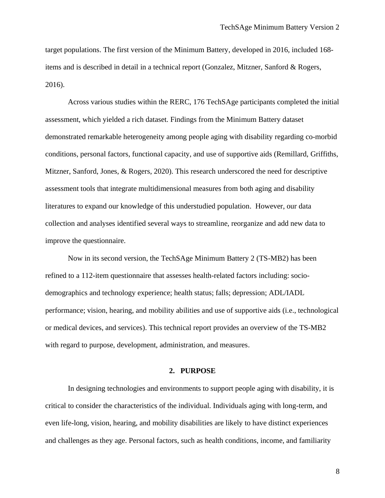target populations. The first version of the Minimum Battery, developed in 2016, included 168 items and is described in detail in a technical report (Gonzalez, Mitzner, Sanford & Rogers, 2016).

Across various studies within the RERC, 176 TechSAge participants completed the initial assessment, which yielded a rich dataset. Findings from the Minimum Battery dataset demonstrated remarkable heterogeneity among people aging with disability regarding co-morbid conditions, personal factors, functional capacity, and use of supportive aids (Remillard, Griffiths, Mitzner, Sanford, Jones, & Rogers, 2020). This research underscored the need for descriptive assessment tools that integrate multidimensional measures from both aging and disability literatures to expand our knowledge of this understudied population. However, our data collection and analyses identified several ways to streamline, reorganize and add new data to improve the questionnaire.

Now in its second version, the TechSAge Minimum Battery 2 (TS-MB2) has been refined to a 112-item questionnaire that assesses health-related factors including: sociodemographics and technology experience; health status; falls; depression; ADL/IADL performance; vision, hearing, and mobility abilities and use of supportive aids (i.e., technological or medical devices, and services). This technical report provides an overview of the TS-MB2 with regard to purpose, development, administration, and measures.

#### **2. PURPOSE**

In designing technologies and environments to support people aging with disability, it is critical to consider the characteristics of the individual. Individuals aging with long-term, and even life-long, vision, hearing, and mobility disabilities are likely to have distinct experiences and challenges as they age. Personal factors, such as health conditions, income, and familiarity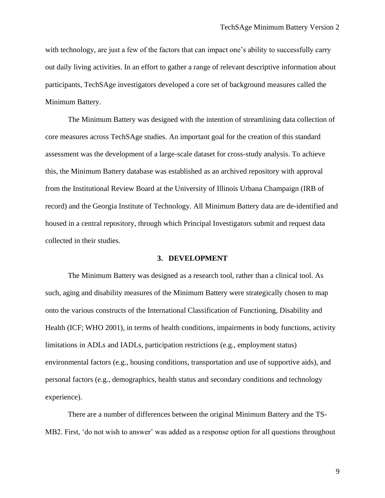with technology, are just a few of the factors that can impact one's ability to successfully carry out daily living activities. In an effort to gather a range of relevant descriptive information about participants, TechSAge investigators developed a core set of background measures called the Minimum Battery.

The Minimum Battery was designed with the intention of streamlining data collection of core measures across TechSAge studies. An important goal for the creation of this standard assessment was the development of a large-scale dataset for cross-study analysis. To achieve this, the Minimum Battery database was established as an archived repository with approval from the Institutional Review Board at the University of Illinois Urbana Champaign (IRB of record) and the Georgia Institute of Technology. All Minimum Battery data are de-identified and housed in a central repository, through which Principal Investigators submit and request data collected in their studies.

#### **3. DEVELOPMENT**

The Minimum Battery was designed as a research tool, rather than a clinical tool. As such, aging and disability measures of the Minimum Battery were strategically chosen to map onto the various constructs of the International Classification of Functioning, Disability and Health (ICF; WHO 2001), in terms of health conditions, impairments in body functions, activity limitations in ADLs and IADLs, participation restrictions (e.g., employment status) environmental factors (e.g., housing conditions, transportation and use of supportive aids), and personal factors (e.g., demographics, health status and secondary conditions and technology experience).

There are a number of differences between the original Minimum Battery and the TS-MB2. First, 'do not wish to answer' was added as a response option for all questions throughout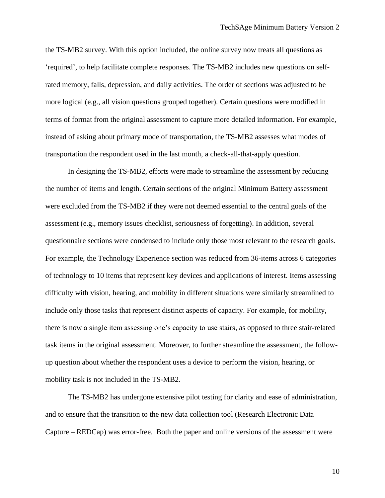the TS-MB2 survey. With this option included, the online survey now treats all questions as 'required', to help facilitate complete responses. The TS-MB2 includes new questions on selfrated memory, falls, depression, and daily activities. The order of sections was adjusted to be more logical (e.g., all vision questions grouped together). Certain questions were modified in terms of format from the original assessment to capture more detailed information. For example, instead of asking about primary mode of transportation, the TS-MB2 assesses what modes of transportation the respondent used in the last month, a check-all-that-apply question.

In designing the TS-MB2, efforts were made to streamline the assessment by reducing the number of items and length. Certain sections of the original Minimum Battery assessment were excluded from the TS-MB2 if they were not deemed essential to the central goals of the assessment (e.g., memory issues checklist, seriousness of forgetting). In addition, several questionnaire sections were condensed to include only those most relevant to the research goals. For example, the Technology Experience section was reduced from 36-items across 6 categories of technology to 10 items that represent key devices and applications of interest. Items assessing difficulty with vision, hearing, and mobility in different situations were similarly streamlined to include only those tasks that represent distinct aspects of capacity. For example, for mobility, there is now a single item assessing one's capacity to use stairs, as opposed to three stair-related task items in the original assessment. Moreover, to further streamline the assessment, the followup question about whether the respondent uses a device to perform the vision, hearing, or mobility task is not included in the TS-MB2.

The TS-MB2 has undergone extensive pilot testing for clarity and ease of administration, and to ensure that the transition to the new data collection tool (Research Electronic Data Capture – REDCap) was error-free. Both the paper and online versions of the assessment were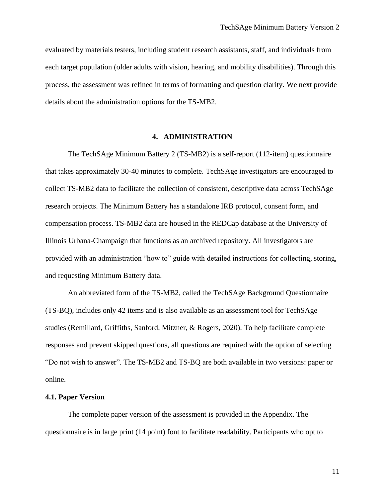evaluated by materials testers, including student research assistants, staff, and individuals from each target population (older adults with vision, hearing, and mobility disabilities). Through this process, the assessment was refined in terms of formatting and question clarity. We next provide details about the administration options for the TS-MB2.

#### **4. ADMINISTRATION**

The TechSAge Minimum Battery 2 (TS-MB2) is a self-report (112-item) questionnaire that takes approximately 30-40 minutes to complete. TechSAge investigators are encouraged to collect TS-MB2 data to facilitate the collection of consistent, descriptive data across TechSAge research projects. The Minimum Battery has a standalone IRB protocol, consent form, and compensation process. TS-MB2 data are housed in the REDCap database at the University of Illinois Urbana-Champaign that functions as an archived repository. All investigators are provided with an administration "how to" guide with detailed instructions for collecting, storing, and requesting Minimum Battery data.

An abbreviated form of the TS-MB2, called the TechSAge Background Questionnaire (TS-BQ), includes only 42 items and is also available as an assessment tool for TechSAge studies (Remillard, Griffiths, Sanford, Mitzner, & Rogers, 2020). To help facilitate complete responses and prevent skipped questions, all questions are required with the option of selecting "Do not wish to answer". The TS-MB2 and TS-BQ are both available in two versions: paper or online.

#### **4.1. Paper Version**

The complete paper version of the assessment is provided in the Appendix. The questionnaire is in large print (14 point) font to facilitate readability. Participants who opt to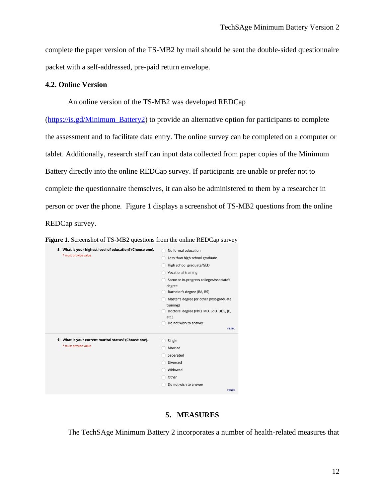complete the paper version of the TS-MB2 by mail should be sent the double-sided questionnaire packet with a self-addressed, pre-paid return envelope.

#### **4.2. Online Version**

#### An online version of the TS-MB2 was developed REDCap

[\(https://is.gd/Minimum\\_Battery2\)](https://is.gd/Minimum_Battery2) to provide an alternative option for participants to complete the assessment and to facilitate data entry. The online survey can be completed on a computer or tablet. Additionally, research staff can input data collected from paper copies of the Minimum Battery directly into the online REDCap survey. If participants are unable or prefer not to complete the questionnaire themselves, it can also be administered to them by a researcher in person or over the phone. Figure 1 displays a screenshot of TS-MB2 questions from the online REDCap survey.



|   | 5 What is your highest level of education? (Choose one).<br>* must provide value | No formal education<br>Less than high school graduate<br>High school graduate/GED<br>Vocational training<br>Some or in-progress college/Associate's<br>degree<br>Bachelor's degree (BA, BS)<br>Master's degree (or other post-graduate |
|---|----------------------------------------------------------------------------------|----------------------------------------------------------------------------------------------------------------------------------------------------------------------------------------------------------------------------------------|
|   |                                                                                  | training)<br>Doctoral degree (PhD, MD, EdD, DDS, JD,<br>etc.)<br>Do not wish to answer<br>reset                                                                                                                                        |
| 6 | What is your current marital status? (Choose one).<br>* must provide value       | Single<br>Married<br>Separated<br>Divorced<br>Widowed<br>Other<br>Do not wish to answer<br>reset                                                                                                                                       |

#### **5. MEASURES**

The TechSAge Minimum Battery 2 incorporates a number of health-related measures that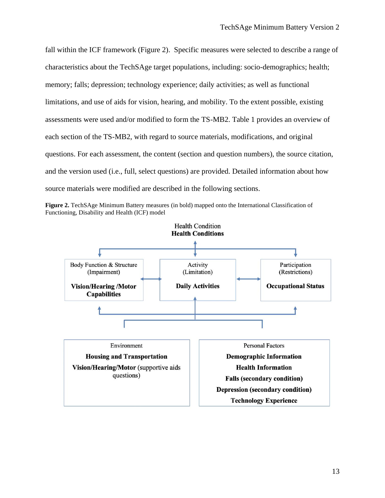fall within the ICF framework (Figure 2). Specific measures were selected to describe a range of characteristics about the TechSAge target populations, including: socio-demographics; health; memory; falls; depression; technology experience; daily activities; as well as functional limitations, and use of aids for vision, hearing, and mobility. To the extent possible, existing assessments were used and/or modified to form the TS-MB2. Table 1 provides an overview of each section of the TS-MB2, with regard to source materials, modifications, and original questions. For each assessment, the content (section and question numbers), the source citation, and the version used (i.e., full, select questions) are provided. Detailed information about how source materials were modified are described in the following sections.



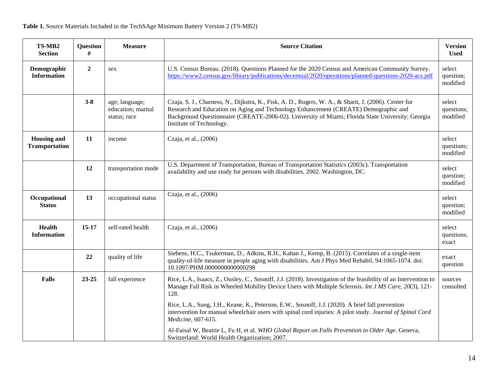| TS-MB2<br><b>Section</b>                    | Question<br>#    | <b>Measure</b>                                       | <b>Source Citation</b>                                                                                                                                                                                                                                                                                                        |                                  |  |  |
|---------------------------------------------|------------------|------------------------------------------------------|-------------------------------------------------------------------------------------------------------------------------------------------------------------------------------------------------------------------------------------------------------------------------------------------------------------------------------|----------------------------------|--|--|
| Demographic<br><b>Information</b>           | $\boldsymbol{2}$ | sex                                                  | U.S. Census Bureau. (2018). Questions Planned for the 2020 Census and American Community Survey.<br>https://www2.census.gov/library/publications/decennial/2020/operations/planned-questions-2020-acs.pdf                                                                                                                     | select<br>question;<br>modified  |  |  |
|                                             | $3 - 8$          | age; language;<br>education; marital<br>status; race | Czaja, S. J., Charness, N., Dijkstra, K., Fisk, A. D., Rogers, W. A., & Sharit, J. (2006). Center for<br>Research and Education on Aging and Technology Enhancement (CREATE) Demographic and<br>Background Questionnaire (CREATE-2006-02). University of Miami; Florida State University; Georgia<br>Institute of Technology. | select<br>questions;<br>modified |  |  |
| <b>Housing and</b><br><b>Transportation</b> | 11               | income                                               | Czaja, et al., (2006)                                                                                                                                                                                                                                                                                                         |                                  |  |  |
|                                             | 12               | transportation mode                                  | U.S. Department of Transportation, Bureau of Transportation Statistics (2003c). Transportation<br>availability and use study for persons with disabilities, 2002. Washington, DC.                                                                                                                                             | select<br>question;<br>modified  |  |  |
| Occupational<br><b>Status</b>               | 13               | occupational status                                  | Czaja, et al., (2006)                                                                                                                                                                                                                                                                                                         | select<br>question;<br>modified  |  |  |
| Health<br><b>Information</b>                | $15-17$          | self-rated health                                    | Czaja, et al., (2006)                                                                                                                                                                                                                                                                                                         | select<br>questions;<br>exact    |  |  |
|                                             | 22               | quality of life                                      | Siebens, H.C., Tsukerman, D., Adkins, R.H., Kahan J., Kemp, B. (2015). Correlates of a single-item<br>quality-of-life measure in people aging with disabilities. Am J Phys Med Rehabil, 94:1065-1074. doi:<br>10.1097/PHM.0000000000000298                                                                                    | exact<br>question                |  |  |
| <b>Falls</b>                                | 23-25            | fall experience                                      | Rice, L.A., Isaacs, Z., Ousley, C., Sosnoff, J.J. (2018). Investigation of the feasibility of an Intervention to<br>Manage Fall Risk in Wheeled Mobility Device Users with Multiple Sclerosis. Int J MS Care, 20(3), 121-<br>128.                                                                                             | sources<br>consulted             |  |  |
|                                             |                  |                                                      | Rice, L.A., Sung, J.H., Keane, K., Peterson, E.W., Sosnoff, J.J. (2020). A brief fall prevention<br>intervention for manual wheelchair users with spinal cord injuries: A pilot study. Journal of Spinal Cord<br>Medicine, 607-615.                                                                                           |                                  |  |  |
|                                             |                  |                                                      | Al-Faisal W, Beattie L, Fu H, et al. WHO Global Report on Falls Prevention in Older Age. Geneva,<br>Switzerland: World Health Organization; 2007.                                                                                                                                                                             |                                  |  |  |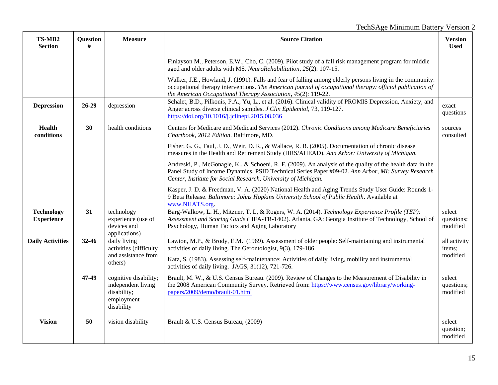## TechSAge Minimum Battery Version 2

| TS-MB2<br><b>Section</b>               | <b>Question</b><br># | <b>Measure</b>                                                                         | <b>Source Citation</b>                                                                                                                                                                                                                                                                   |                                  |  |  |
|----------------------------------------|----------------------|----------------------------------------------------------------------------------------|------------------------------------------------------------------------------------------------------------------------------------------------------------------------------------------------------------------------------------------------------------------------------------------|----------------------------------|--|--|
|                                        |                      |                                                                                        | Finlayson M., Peterson, E.W., Cho, C. (2009). Pilot study of a fall risk management program for middle<br>aged and older adults with MS. NeuroRehabilitation, 25(2): 107-15.                                                                                                             |                                  |  |  |
|                                        |                      |                                                                                        | Walker, J.E., Howland, J. (1991). Falls and fear of falling among elderly persons living in the community:<br>occupational therapy interventions. The American journal of occupational therapy: official publication of<br>the American Occupational Therapy Association, 45(2): 119-22. |                                  |  |  |
| <b>Depression</b>                      | $26-29$              | depression                                                                             | Schalet, B.D., Pilkonis, P.A., Yu, L., et al. (2016). Clinical validity of PROMIS Depression, Anxiety, and<br>Anger across diverse clinical samples. J Clin Epidemiol, 73, 119-127.<br>https://doi.org/10.1016/j.jclinepi.2015.08.036                                                    |                                  |  |  |
| <b>Health</b><br>conditions            | 30                   | health conditions                                                                      | Centers for Medicare and Medicaid Services (2012). Chronic Conditions among Medicare Beneficiaries<br>Chartbook, 2012 Edition. Baltimore, MD.                                                                                                                                            | sources<br>consulted             |  |  |
|                                        |                      |                                                                                        | Fisher, G. G., Faul, J. D., Weir, D. R., & Wallace, R. B. (2005). Documentation of chronic disease<br>measures in the Health and Retirement Study (HRS/AHEAD). Ann Arbor: University of Michigan.                                                                                        |                                  |  |  |
|                                        |                      |                                                                                        | Andreski, P., McGonagle, K., & Schoeni, R. F. (2009). An analysis of the quality of the health data in the<br>Panel Study of Income Dynamics. PSID Technical Series Paper #09-02. Ann Arbor, MI: Survey Research<br>Center, Institute for Social Research, University of Michigan.       |                                  |  |  |
|                                        |                      |                                                                                        | Kasper, J. D. & Freedman, V. A. (2020) National Health and Aging Trends Study User Guide: Rounds 1-<br>9 Beta Release. Baltimore: Johns Hopkins University School of Public Health. Available at<br>www.NHATS.org.                                                                       |                                  |  |  |
| <b>Technology</b><br><b>Experience</b> | 31                   | technology<br>experience (use of<br>devices and<br>applications)                       | Barg-Walkow, L. H., Mitzner, T. L, & Rogers, W. A. (2014). Technology Experience Profile (TEP):<br>Assessment and Scoring Guide (HFA-TR-1402). Atlanta, GA: Georgia Institute of Technology, School of<br>Psychology, Human Factors and Aging Laboratory                                 | select<br>questions;<br>modified |  |  |
| <b>Daily Activities</b>                | 32-46                | daily living<br>activities (difficulty                                                 | Lawton, M.P., & Brody, E.M. (1969). Assessment of older people: Self-maintaining and instrumental<br>activities of daily living. The Gerontologist, 9(3), 179-186.                                                                                                                       | all activity<br>items;           |  |  |
|                                        |                      | and assistance from<br>others)                                                         | Katz, S. (1983). Assessing self-maintenance: Activities of daily living, mobility and instrumental<br>activities of daily living. JAGS, 31(12), 721-726.                                                                                                                                 | modified                         |  |  |
|                                        | 47-49                | cognitive disability;<br>independent living<br>disability;<br>employment<br>disability | Brault, M. W., & U.S. Census Bureau. (2009). Review of Changes to the Measurement of Disability in<br>the 2008 American Community Survey. Retrieved from: https://www.census.gov/library/working-<br>papers/2009/demo/brault-01.html                                                     | select<br>questions;<br>modified |  |  |
| <b>Vision</b>                          | 50                   | vision disability                                                                      | Brault & U.S. Census Bureau, (2009)                                                                                                                                                                                                                                                      | select<br>question;<br>modified  |  |  |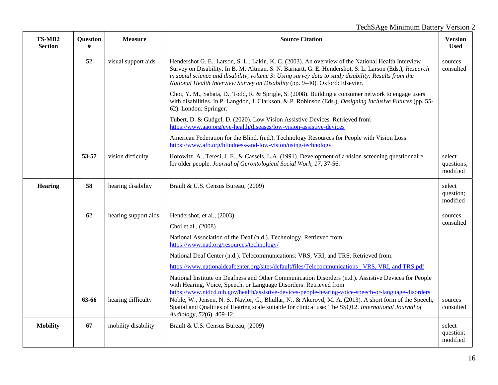## TechSAge Minimum Battery Version 2

| TS-MB2<br><b>Section</b> | Question<br># | <b>Measure</b>       | <b>Source Citation</b>                                                                                                                                                                                                                                                                                                                                                                              |                      |
|--------------------------|---------------|----------------------|-----------------------------------------------------------------------------------------------------------------------------------------------------------------------------------------------------------------------------------------------------------------------------------------------------------------------------------------------------------------------------------------------------|----------------------|
|                          | 52            | visual support aids  | Hendershot G. E., Larson, S. L., Lakin, K. C. (2003). An overview of the National Health Interview<br>Survey on Disability. In B. M. Altman, S. N. Barnartt, G. E. Hendershot, S. L. Larson (Eds.), Research<br>in social science and disability, volume 3: Using survey data to study disability: Results from the<br>National Health Interview Survey on Disability (pp. 9-40). Oxford: Elsevier. | sources<br>consulted |
|                          |               |                      | Choi, Y. M., Sabata, D., Todd, R. & Sprigle, S. (2008). Building a consumer network to engage users<br>with disabilities. In P. Langdon, J. Clarkson, & P. Robinson (Eds.), <i>Designing Inclusive Futures</i> (pp. 55-<br>62). London: Springer.                                                                                                                                                   |                      |
|                          |               |                      | Tubert, D. & Gudgel, D. (2020). Low Vision Assistive Devices. Retrieved from<br>https://www.aao.org/eye-health/diseases/low-vision-assistive-devices                                                                                                                                                                                                                                                |                      |
|                          |               |                      | American Federation for the Blind. (n.d.). Technology Resources for People with Vision Loss.<br>https://www.afb.org/blindness-and-low-vision/using-technology                                                                                                                                                                                                                                       |                      |
|                          | 53-57         | vision difficulty    | Horowitz, A., Teresi, J. E., & Cassels, L.A. (1991). Development of a vision screening questionnaire<br>for older people. Journal of Gerontological Social Work, 17, 37-56.                                                                                                                                                                                                                         |                      |
| <b>Hearing</b>           | 58            | hearing disability   | Brault & U.S. Census Bureau, (2009)                                                                                                                                                                                                                                                                                                                                                                 |                      |
|                          | 62            | hearing support aids | Hendershot, et al., (2003)                                                                                                                                                                                                                                                                                                                                                                          | sources<br>consulted |
|                          |               |                      | Choi et al., (2008)                                                                                                                                                                                                                                                                                                                                                                                 |                      |
|                          |               |                      | National Association of the Deaf (n.d.). Technology. Retrieved from<br>https://www.nad.org/resources/technology/                                                                                                                                                                                                                                                                                    |                      |
|                          |               |                      | National Deaf Center (n.d.). Telecommunications: VRS, VRI, and TRS. Retrieved from:                                                                                                                                                                                                                                                                                                                 |                      |
|                          |               |                      | https://www.nationaldeafcenter.org/sites/default/files/Telecommunications_VRS, VRI, and TRS.pdf                                                                                                                                                                                                                                                                                                     |                      |
|                          |               |                      | National Institute on Deafness and Other Communication Disorders (n.d.). Assistive Devices for People<br>with Hearing, Voice, Speech, or Language Disorders. Retrieved from<br>https://www.nidcd.nih.gov/health/assistive-devices-people-hearing-voice-speech-or-language-disorders                                                                                                                 |                      |
|                          | 63-66         | hearing difficulty   | Noble, W., Jensen, N. S., Naylor, G., Bhullar, N., & Akeroyd, M. A. (2013). A short form of the Speech,<br>Spatial and Qualities of Hearing scale suitable for clinical use: The SSQ12. International Journal of<br>Audiology, 52(6), 409-12.                                                                                                                                                       |                      |
| <b>Mobility</b>          | 67            | mobility disability  | Brault & U.S. Census Bureau, (2009)                                                                                                                                                                                                                                                                                                                                                                 |                      |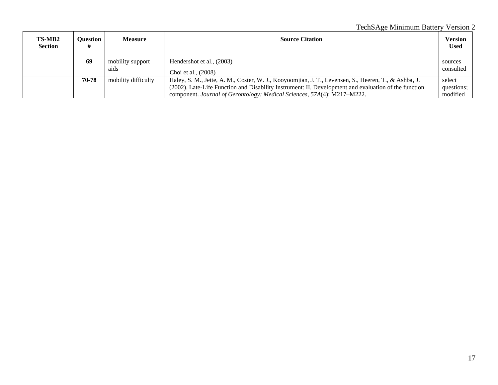### TechSAge Minimum Battery Version 2

| <b>TS-MB2</b><br><b>Section</b> | Ouestion | <b>Measure</b>           | <b>Source Citation</b>                                                                                                                                                                                                                                                                  | Version<br><b>Used</b>           |
|---------------------------------|----------|--------------------------|-----------------------------------------------------------------------------------------------------------------------------------------------------------------------------------------------------------------------------------------------------------------------------------------|----------------------------------|
|                                 | 69       | mobility support<br>aids | Hendershot et al., (2003)<br>Choi et al., (2008)                                                                                                                                                                                                                                        | sources<br>consulted             |
|                                 | 70-78    | mobility difficulty      | Haley, S. M., Jette, A. M., Coster, W. J., Kooyoomjian, J. T., Levensen, S., Heeren, T., & Ashba, J.<br>(2002). Late-Life Function and Disability Instrument: II. Development and evaluation of the function<br>component. Journal of Gerontology: Medical Sciences, 57A(4): M217–M222. | select<br>questions;<br>modified |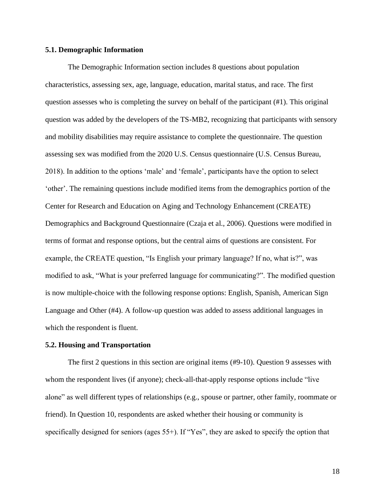#### **5.1. Demographic Information**

The Demographic Information section includes 8 questions about population characteristics, assessing sex, age, language, education, marital status, and race. The first question assesses who is completing the survey on behalf of the participant (#1). This original question was added by the developers of the TS-MB2, recognizing that participants with sensory and mobility disabilities may require assistance to complete the questionnaire. The question assessing sex was modified from the 2020 U.S. Census questionnaire (U.S. Census Bureau, 2018). In addition to the options 'male' and 'female', participants have the option to select 'other'. The remaining questions include modified items from the demographics portion of the Center for Research and Education on Aging and Technology Enhancement (CREATE) Demographics and Background Questionnaire (Czaja et al., 2006). Questions were modified in terms of format and response options, but the central aims of questions are consistent. For example, the CREATE question, "Is English your primary language? If no, what is?", was modified to ask, "What is your preferred language for communicating?". The modified question is now multiple-choice with the following response options: English, Spanish, American Sign Language and Other (#4). A follow-up question was added to assess additional languages in which the respondent is fluent.

#### **5.2. Housing and Transportation**

The first 2 questions in this section are original items (#9-10). Question 9 assesses with whom the respondent lives (if anyone); check-all-that-apply response options include "live alone" as well different types of relationships (e.g., spouse or partner, other family, roommate or friend). In Question 10, respondents are asked whether their housing or community is specifically designed for seniors (ages 55+). If "Yes", they are asked to specify the option that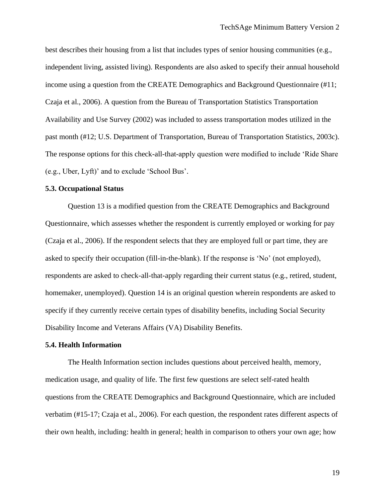best describes their housing from a list that includes types of senior housing communities (e.g., independent living, assisted living). Respondents are also asked to specify their annual household income using a question from the CREATE Demographics and Background Questionnaire (#11; Czaja et al., 2006). A question from the Bureau of Transportation Statistics Transportation Availability and Use Survey (2002) was included to assess transportation modes utilized in the past month (#12; U.S. Department of Transportation, Bureau of Transportation Statistics, 2003c). The response options for this check-all-that-apply question were modified to include 'Ride Share (e.g., Uber, Lyft)' and to exclude 'School Bus'.

#### **5.3. Occupational Status**

Question 13 is a modified question from the CREATE Demographics and Background Questionnaire, which assesses whether the respondent is currently employed or working for pay (Czaja et al., 2006). If the respondent selects that they are employed full or part time, they are asked to specify their occupation (fill-in-the-blank). If the response is 'No' (not employed), respondents are asked to check-all-that-apply regarding their current status (e.g., retired, student, homemaker, unemployed). Question 14 is an original question wherein respondents are asked to specify if they currently receive certain types of disability benefits, including Social Security Disability Income and Veterans Affairs (VA) Disability Benefits.

#### **5.4. Health Information**

The Health Information section includes questions about perceived health, memory, medication usage, and quality of life. The first few questions are select self-rated health questions from the CREATE Demographics and Background Questionnaire, which are included verbatim (#15-17; Czaja et al., 2006). For each question, the respondent rates different aspects of their own health, including: health in general; health in comparison to others your own age; how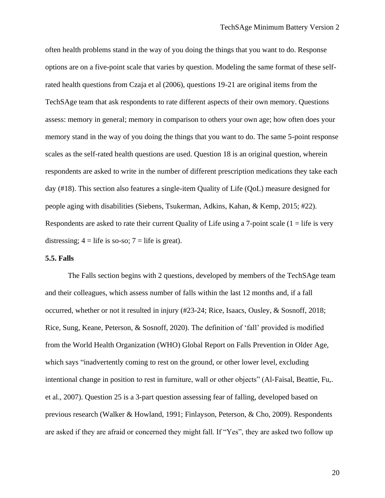often health problems stand in the way of you doing the things that you want to do. Response options are on a five-point scale that varies by question. Modeling the same format of these selfrated health questions from Czaja et al (2006), questions 19-21 are original items from the TechSAge team that ask respondents to rate different aspects of their own memory. Questions assess: memory in general; memory in comparison to others your own age; how often does your memory stand in the way of you doing the things that you want to do. The same 5-point response scales as the self-rated health questions are used. Question 18 is an original question, wherein respondents are asked to write in the number of different prescription medications they take each day (#18). This section also features a single-item Quality of Life (QoL) measure designed for people aging with disabilities (Siebens, Tsukerman, Adkins, Kahan, & Kemp, 2015; #22). Respondents are asked to rate their current Quality of Life using a 7-point scale  $(1 =$  life is very distressing;  $4 =$  life is so-so;  $7 =$  life is great).

#### **5.5. Falls**

The Falls section begins with 2 questions, developed by members of the TechSAge team and their colleagues, which assess number of falls within the last 12 months and, if a fall occurred, whether or not it resulted in injury (#23-24; Rice, Isaacs, Ousley, & Sosnoff, 2018; Rice, Sung, Keane, Peterson, & Sosnoff, 2020). The definition of 'fall' provided is modified from the World Health Organization (WHO) Global Report on Falls Prevention in Older Age, which says "inadvertently coming to rest on the ground, or other lower level, excluding intentional change in position to rest in furniture, wall or other objects" (Al-Faisal, Beattie, Fu,. et al., 2007). Question 25 is a 3-part question assessing fear of falling, developed based on previous research (Walker & Howland, 1991; Finlayson, Peterson, & Cho, 2009). Respondents are asked if they are afraid or concerned they might fall. If "Yes", they are asked two follow up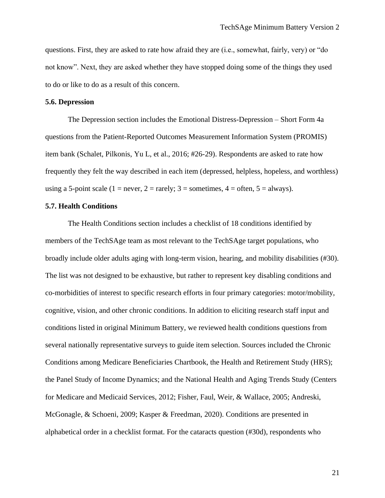questions. First, they are asked to rate how afraid they are (i.e., somewhat, fairly, very) or "do not know". Next, they are asked whether they have stopped doing some of the things they used to do or like to do as a result of this concern.

#### **5.6. Depression**

The Depression section includes the Emotional Distress-Depression – Short Form 4a questions from the Patient-Reported Outcomes Measurement Information System (PROMIS) item bank (Schalet, Pilkonis, Yu L, et al., 2016; #26-29). Respondents are asked to rate how frequently they felt the way described in each item (depressed, helpless, hopeless, and worthless) using a 5-point scale (1 = never, 2 = rarely; 3 = sometimes, 4 = often, 5 = always).

#### **5.7. Health Conditions**

The Health Conditions section includes a checklist of 18 conditions identified by members of the TechSAge team as most relevant to the TechSAge target populations, who broadly include older adults aging with long-term vision, hearing, and mobility disabilities (#30). The list was not designed to be exhaustive, but rather to represent key disabling conditions and co-morbidities of interest to specific research efforts in four primary categories: motor/mobility, cognitive, vision, and other chronic conditions. In addition to eliciting research staff input and conditions listed in original Minimum Battery, we reviewed health conditions questions from several nationally representative surveys to guide item selection. Sources included the Chronic Conditions among Medicare Beneficiaries Chartbook, the Health and Retirement Study (HRS); the Panel Study of Income Dynamics; and the National Health and Aging Trends Study (Centers for Medicare and Medicaid Services, 2012; Fisher, Faul, Weir, & Wallace, 2005; Andreski, McGonagle, & Schoeni, 2009; Kasper & Freedman, 2020). Conditions are presented in alphabetical order in a checklist format. For the cataracts question (#30d), respondents who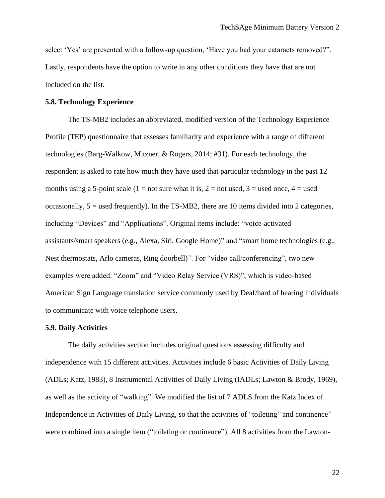select 'Yes' are presented with a follow-up question, 'Have you had your cataracts removed?". Lastly, respondents have the option to write in any other conditions they have that are not included on the list.

#### **5.8. Technology Experience**

The TS-MB2 includes an abbreviated, modified version of the Technology Experience Profile (TEP) questionnaire that assesses familiarity and experience with a range of different technologies (Barg-Walkow, Mitzner, & Rogers, 2014; #31). For each technology, the respondent is asked to rate how much they have used that particular technology in the past 12 months using a 5-point scale (1 = not sure what it is, 2 = not used, 3 = used once, 4 = used occasionally,  $5 =$  used frequently). In the TS-MB2, there are 10 items divided into 2 categories, including "Devices" and "Applications". Original items include: "voice-activated assistants/smart speakers (e.g., Alexa, Siri, Google Home)" and "smart home technologies (e.g., Nest thermostats, Arlo cameras, Ring doorbell)". For "video call/conferencing", two new examples were added: "Zoom" and "Video Relay Service (VRS)", which is video-based American Sign Language translation service commonly used by Deaf/hard of hearing individuals to communicate with voice telephone users.

#### **5.9. Daily Activities**

The daily activities section includes original questions assessing difficulty and independence with 15 different activities. Activities include 6 basic Activities of Daily Living (ADLs; Katz, 1983), 8 Instrumental Activities of Daily Living (IADLs; Lawton & Brody, 1969), as well as the activity of "walking". We modified the list of 7 ADLS from the Katz Index of Independence in Activities of Daily Living, so that the activities of "toileting" and continence" were combined into a single item ("toileting or continence"). All 8 activities from the Lawton-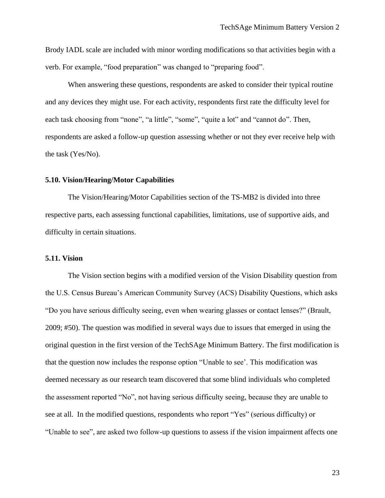Brody IADL scale are included with minor wording modifications so that activities begin with a verb. For example, "food preparation" was changed to "preparing food".

When answering these questions, respondents are asked to consider their typical routine and any devices they might use. For each activity, respondents first rate the difficulty level for each task choosing from "none", "a little", "some", "quite a lot" and "cannot do". Then, respondents are asked a follow-up question assessing whether or not they ever receive help with the task (Yes/No).

#### **5.10. Vision/Hearing/Motor Capabilities**

The Vision/Hearing/Motor Capabilities section of the TS-MB2 is divided into three respective parts, each assessing functional capabilities, limitations, use of supportive aids, and difficulty in certain situations.

#### **5.11. Vision**

The Vision section begins with a modified version of the Vision Disability question from the U.S. Census Bureau's American Community Survey (ACS) Disability Questions, which asks "Do you have serious difficulty seeing, even when wearing glasses or contact lenses?" (Brault, 2009; #50). The question was modified in several ways due to issues that emerged in using the original question in the first version of the TechSAge Minimum Battery. The first modification is that the question now includes the response option "Unable to see'. This modification was deemed necessary as our research team discovered that some blind individuals who completed the assessment reported "No", not having serious difficulty seeing, because they are unable to see at all. In the modified questions, respondents who report "Yes" (serious difficulty) or "Unable to see", are asked two follow-up questions to assess if the vision impairment affects one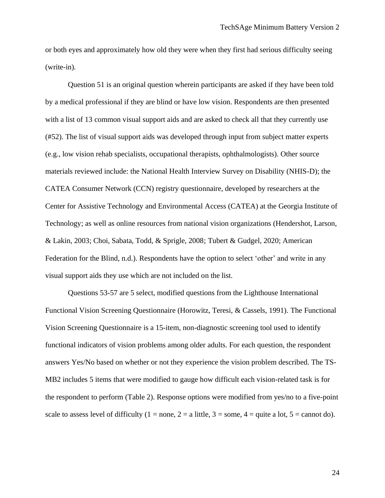or both eyes and approximately how old they were when they first had serious difficulty seeing (write-in)*.* 

Question 51 is an original question wherein participants are asked if they have been told by a medical professional if they are blind or have low vision. Respondents are then presented with a list of 13 common visual support aids and are asked to check all that they currently use (#52). The list of visual support aids was developed through input from subject matter experts (e.g., low vision rehab specialists, occupational therapists, ophthalmologists). Other source materials reviewed include: the National Health Interview Survey on Disability (NHIS-D); the CATEA Consumer Network (CCN) registry questionnaire, developed by researchers at the Center for Assistive Technology and Environmental Access (CATEA) at the Georgia Institute of Technology; as well as online resources from national vision organizations (Hendershot, Larson, & Lakin, 2003; Choi, Sabata, Todd, & Sprigle, 2008; Tubert & Gudgel, 2020; American Federation for the Blind, n.d.). Respondents have the option to select 'other' and write in any visual support aids they use which are not included on the list.

Questions 53-57 are 5 select, modified questions from the Lighthouse International Functional Vision Screening Questionnaire (Horowitz, Teresi, & Cassels, 1991). The Functional Vision Screening Questionnaire is a 15-item, non-diagnostic screening tool used to identify functional indicators of vision problems among older adults. For each question, the respondent answers Yes/No based on whether or not they experience the vision problem described. The TS-MB2 includes 5 items that were modified to gauge how difficult each vision-related task is for the respondent to perform (Table 2). Response options were modified from yes/no to a five-point scale to assess level of difficulty (1 = none, 2 = a little, 3 = some, 4 = quite a lot, 5 = cannot do).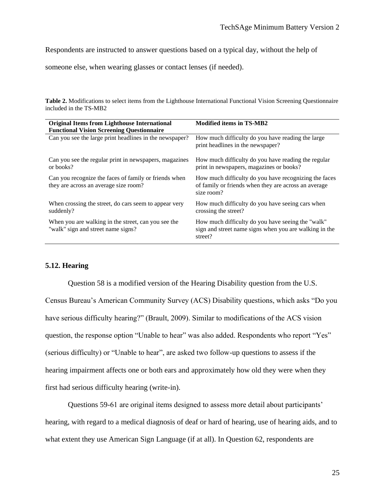Respondents are instructed to answer questions based on a typical day, without the help of

someone else, when wearing glasses or contact lenses (if needed).

**Table 2.** Modifications to select items from the Lighthouse International Functional Vision Screening Questionnaire included in the TS-MB2

| <b>Original Items from Lighthouse International</b>                                            | <b>Modified items in TS-MB2</b>                                                                                             |
|------------------------------------------------------------------------------------------------|-----------------------------------------------------------------------------------------------------------------------------|
| <b>Functional Vision Screening Questionnaire</b>                                               | How much difficulty do you have reading the large                                                                           |
| Can you see the large print headlines in the newspaper?                                        | print headlines in the newspaper?                                                                                           |
| Can you see the regular print in newspapers, magazines                                         | How much difficulty do you have reading the regular                                                                         |
| or books?                                                                                      | print in newspapers, magazines or books?                                                                                    |
| Can you recognize the faces of family or friends when<br>they are across an average size room? | How much difficulty do you have recognizing the faces<br>of family or friends when they are across an average<br>size room? |
| When crossing the street, do cars seem to appear very                                          | How much difficulty do you have seeing cars when                                                                            |
| suddenly?                                                                                      | crossing the street?                                                                                                        |
| When you are walking in the street, can you see the<br>"walk" sign and street name signs?      | How much difficulty do you have seeing the "walk"<br>sign and street name signs when you are walking in the<br>street?      |

#### **5.12. Hearing**

Question 58 is a modified version of the Hearing Disability question from the U.S. Census Bureau's American Community Survey (ACS) Disability questions, which asks "Do you have serious difficulty hearing?" (Brault, 2009). Similar to modifications of the ACS vision question, the response option "Unable to hear" was also added. Respondents who report "Yes" (serious difficulty) or "Unable to hear", are asked two follow-up questions to assess if the hearing impairment affects one or both ears and approximately how old they were when they first had serious difficulty hearing (write-in).

Questions 59-61 are original items designed to assess more detail about participants' hearing, with regard to a medical diagnosis of deaf or hard of hearing, use of hearing aids, and to what extent they use American Sign Language (if at all). In Question 62, respondents are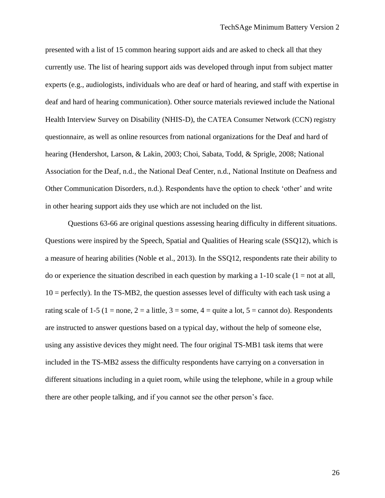presented with a list of 15 common hearing support aids and are asked to check all that they currently use. The list of hearing support aids was developed through input from subject matter experts (e.g., audiologists, individuals who are deaf or hard of hearing, and staff with expertise in deaf and hard of hearing communication). Other source materials reviewed include the National Health Interview Survey on Disability (NHIS-D), the CATEA Consumer Network (CCN) registry questionnaire, as well as online resources from national organizations for the Deaf and hard of hearing (Hendershot, Larson, & Lakin, 2003; Choi, Sabata, Todd, & Sprigle, 2008; National Association for the Deaf, n.d., the National Deaf Center, n.d., National Institute on Deafness and Other Communication Disorders, n.d.). Respondents have the option to check 'other' and write in other hearing support aids they use which are not included on the list.

Questions 63-66 are original questions assessing hearing difficulty in different situations. Questions were inspired by the Speech, Spatial and Qualities of Hearing scale (SSQ12), which is a measure of hearing abilities (Noble et al., 2013). In the SSQ12, respondents rate their ability to do or experience the situation described in each question by marking a  $1-10$  scale ( $1 =$  not at all,  $10 =$  perfectly). In the TS-MB2, the question assesses level of difficulty with each task using a rating scale of 1-5 (1 = none, 2 = a little, 3 = some, 4 = quite a lot, 5 = cannot do). Respondents are instructed to answer questions based on a typical day, without the help of someone else, using any assistive devices they might need. The four original TS-MB1 task items that were included in the TS-MB2 assess the difficulty respondents have carrying on a conversation in different situations including in a quiet room, while using the telephone, while in a group while there are other people talking, and if you cannot see the other person's face.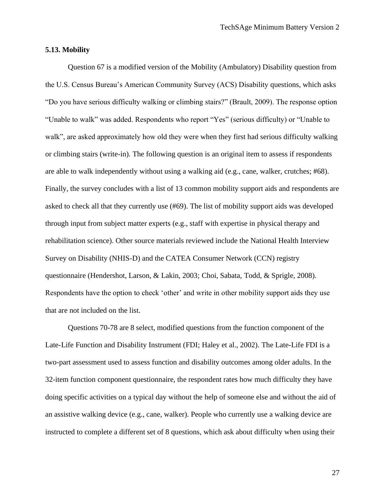#### **5.13. Mobility**

Question 67 is a modified version of the Mobility (Ambulatory) Disability question from the U.S. Census Bureau's American Community Survey (ACS) Disability questions, which asks "Do you have serious difficulty walking or climbing stairs?" (Brault, 2009). The response option "Unable to walk" was added. Respondents who report "Yes" (serious difficulty) or "Unable to walk", are asked approximately how old they were when they first had serious difficulty walking or climbing stairs (write-in). The following question is an original item to assess if respondents are able to walk independently without using a walking aid (e.g., cane, walker, crutches; #68). Finally, the survey concludes with a list of 13 common mobility support aids and respondents are asked to check all that they currently use (#69). The list of mobility support aids was developed through input from subject matter experts (e.g., staff with expertise in physical therapy and rehabilitation science). Other source materials reviewed include the National Health Interview Survey on Disability (NHIS-D) and the CATEA Consumer Network (CCN) registry questionnaire (Hendershot, Larson, & Lakin, 2003; Choi, Sabata, Todd, & Sprigle, 2008). Respondents have the option to check 'other' and write in other mobility support aids they use that are not included on the list.

Questions 70-78 are 8 select, modified questions from the function component of the Late-Life Function and Disability Instrument (FDI; Haley et al., 2002). The Late-Life FDI is a two-part assessment used to assess function and disability outcomes among older adults. In the 32-item function component questionnaire, the respondent rates how much difficulty they have doing specific activities on a typical day without the help of someone else and without the aid of an assistive walking device (e.g., cane, walker). People who currently use a walking device are instructed to complete a different set of 8 questions, which ask about difficulty when using their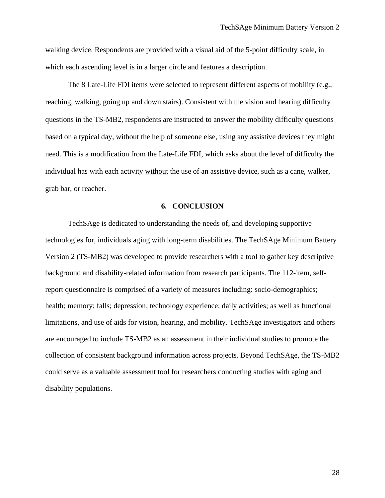walking device. Respondents are provided with a visual aid of the 5-point difficulty scale, in which each ascending level is in a larger circle and features a description.

The 8 Late-Life FDI items were selected to represent different aspects of mobility (e.g., reaching, walking, going up and down stairs). Consistent with the vision and hearing difficulty questions in the TS-MB2, respondents are instructed to answer the mobility difficulty questions based on a typical day, without the help of someone else, using any assistive devices they might need. This is a modification from the Late-Life FDI, which asks about the level of difficulty the individual has with each activity without the use of an assistive device, such as a cane, walker, grab bar, or reacher.

#### **6. CONCLUSION**

TechSAge is dedicated to understanding the needs of, and developing supportive technologies for, individuals aging with long-term disabilities. The TechSAge Minimum Battery Version 2 (TS-MB2) was developed to provide researchers with a tool to gather key descriptive background and disability-related information from research participants. The 112-item, selfreport questionnaire is comprised of a variety of measures including: socio-demographics; health; memory; falls; depression; technology experience; daily activities; as well as functional limitations, and use of aids for vision, hearing, and mobility. TechSAge investigators and others are encouraged to include TS-MB2 as an assessment in their individual studies to promote the collection of consistent background information across projects. Beyond TechSAge, the TS-MB2 could serve as a valuable assessment tool for researchers conducting studies with aging and disability populations.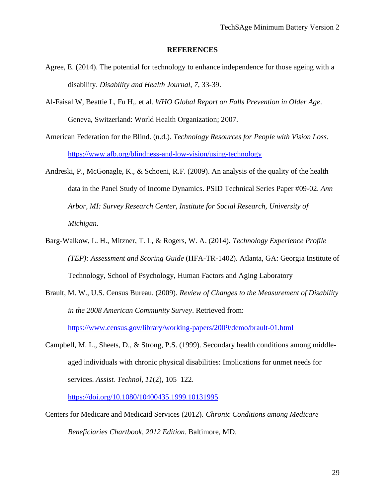#### **REFERENCES**

- Agree, E. (2014). The potential for technology to enhance independence for those ageing with a disability. *Disability and Health Journal, 7*, 33-39.
- Al-Faisal W, Beattie L, Fu H,. et al. *WHO Global Report on Falls Prevention in Older Age*. Geneva, Switzerland: World Health Organization; 2007.
- American Federation for the Blind. (n.d.). *Technology Resources for People with Vision Loss.*  <https://www.afb.org/blindness-and-low-vision/using-technology>
- Andreski, P., McGonagle, K., & Schoeni, R.F. (2009). An analysis of the quality of the health data in the Panel Study of Income Dynamics. PSID Technical Series Paper #09-02. *Ann Arbor, MI: Survey Research Center, Institute for Social Research, University of Michigan.*
- Barg-Walkow, L. H., Mitzner, T. L, & Rogers, W. A. (2014). *Technology Experience Profile (TEP): Assessment and Scoring Guide* (HFA-TR-1402). Atlanta, GA: Georgia Institute of Technology, School of Psychology, Human Factors and Aging Laboratory
- Brault, M. W., U.S. Census Bureau. (2009). *Review of Changes to the Measurement of Disability in the 2008 American Community Survey*. Retrieved from: <https://www.census.gov/library/working-papers/2009/demo/brault-01.html>
- Campbell, M. L., Sheets, D., & Strong, P.S. (1999). Secondary health conditions among middleaged individuals with chronic physical disabilities: Implications for unmet needs for services. *Assist. Technol, 11*(2), 105–122.

<https://doi.org/10.1080/10400435.1999.10131995>

Centers for Medicare and Medicaid Services (2012). *Chronic Conditions among Medicare Beneficiaries Chartbook, 2012 Edition*. Baltimore, MD.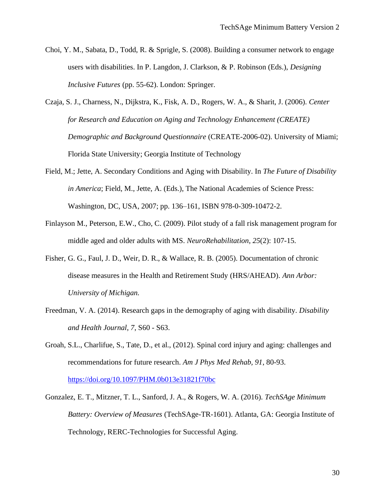- Choi, Y. M., Sabata, D., Todd, R. & Sprigle, S. (2008). Building a consumer network to engage users with disabilities. In P. Langdon, J. Clarkson, & P. Robinson (Eds.), *Designing Inclusive Futures* (pp. 55-62). London: Springer.
- Czaja, S. J., Charness, N., Dijkstra, K., Fisk, A. D., Rogers, W. A., & Sharit, J. (2006). *Center for Research and Education on Aging and Technology Enhancement (CREATE) Demographic and Background Questionnaire* (CREATE-2006-02). University of Miami; Florida State University; Georgia Institute of Technology
- Field, M.; Jette, A. Secondary Conditions and Aging with Disability. In *The Future of Disability in America*; Field, M., Jette, A. (Eds.), The National Academies of Science Press: Washington, DC, USA, 2007; pp. 136–161, ISBN 978-0-309-10472-2.
- Finlayson M., Peterson, E.W., Cho, C. (2009). Pilot study of a fall risk management program for middle aged and older adults with MS. *NeuroRehabilitation*, *25*(2): 107-15.
- Fisher, G. G., Faul, J. D., Weir, D. R., & Wallace, R. B. (2005). Documentation of chronic disease measures in the Health and Retirement Study (HRS/AHEAD). *Ann Arbor: University of Michigan.*
- Freedman, V. A. (2014). Research gaps in the demography of aging with disability. *Disability and Health Journal*, *7*, S60 - S63.
- Groah, S.L., Charlifue, S., Tate, D., et al., (2012). Spinal cord injury and aging: challenges and recommendations for future research. *Am J Phys Med Rehab, 91*, 80-93. <https://doi.org/10.1097/PHM.0b013e31821f70bc>
- Gonzalez, E. T., Mitzner, T. L., Sanford, J. A., & Rogers, W. A. (2016)*. TechSAge Minimum Battery: Overview of Measures* (TechSAge-TR-1601). Atlanta, GA: Georgia Institute of Technology, RERC-Technologies for Successful Aging.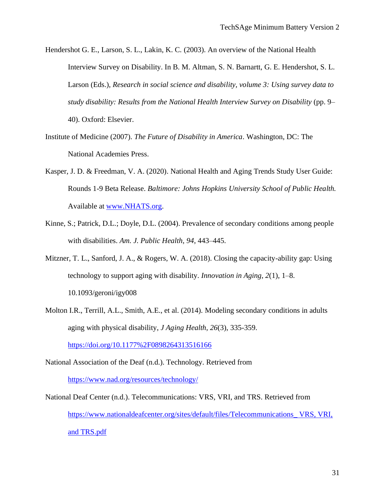- Hendershot G. E., Larson, S. L., Lakin, K. C. (2003). An overview of the National Health Interview Survey on Disability. In B. M. Altman, S. N. Barnartt, G. E. Hendershot, S. L. Larson (Eds.), *Research in social science and disability, volume 3: Using survey data to study disability: Results from the National Health Interview Survey on Disability* (pp. 9– 40). Oxford: Elsevier.
- Institute of Medicine (2007). *The Future of Disability in America*. Washington, DC: The National Academies Press.
- Kasper, J. D. & Freedman, V. A. (2020). National Health and Aging Trends Study User Guide: Rounds 1-9 Beta Release. *Baltimore: Johns Hopkins University School of Public Health.* Available at [www.NHATS.org.](http://www.nhats.org/)
- Kinne, S.; Patrick, D.L.; Doyle, D.L. (2004). Prevalence of secondary conditions among people with disabilities. *Am. J. Public Health*, *94*, 443–445.
- Mitzner, T. L., Sanford, J. A., & Rogers, W. A. (2018). Closing the capacity-ability gap: Using technology to support aging with disability. *Innovation in Aging, 2*(1), 1–8. 10.1093/geroni/igy008
- Molton I.R., Terrill, A.L., Smith, A.E., et al. (2014). Modeling secondary conditions in adults aging with physical disability, *J Aging Health*, *26*(3), 335-359.

<https://doi.org/10.1177%2F0898264313516166>

- National Association of the Deaf (n.d.). Technology. Retrieved from <https://www.nad.org/resources/technology/>
- National Deaf Center (n.d.). Telecommunications: VRS, VRI, and TRS. Retrieved from [https://www.nationaldeafcenter.org/sites/default/files/Telecommunications\\_ VRS, VRI,](https://www.nationaldeafcenter.org/sites/default/files/Telecommunications_%20VRS,%20VRI,%20and%20TRS.pdf)  [and TRS.pdf](https://www.nationaldeafcenter.org/sites/default/files/Telecommunications_%20VRS,%20VRI,%20and%20TRS.pdf)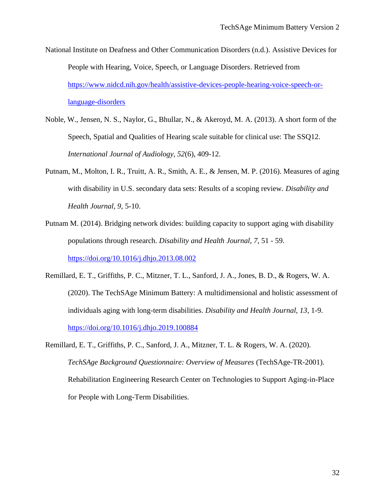- National Institute on Deafness and Other Communication Disorders (n.d.). Assistive Devices for People with Hearing, Voice, Speech, or Language Disorders. Retrieved from [https://www.nidcd.nih.gov/health/assistive-devices-people-hearing-voice-speech-or](https://www.nidcd.nih.gov/health/assistive-devices-people-hearing-voice-speech-or-language-disorders)[language-disorders](https://www.nidcd.nih.gov/health/assistive-devices-people-hearing-voice-speech-or-language-disorders)
- Noble, W., Jensen, N. S., Naylor, G., Bhullar, N., & Akeroyd, M. A. (2013). A short form of the Speech, Spatial and Qualities of Hearing scale suitable for clinical use: The SSQ12. *International Journal of Audiology, 52*(6), 409-12.
- Putnam, M., Molton, I. R., Truitt, A. R., Smith, A. E., & Jensen, M. P. (2016). Measures of aging with disability in U.S. secondary data sets: Results of a scoping review. *Disability and Health Journal, 9*, 5-10.
- Putnam M. (2014). Bridging network divides: building capacity to support aging with disability populations through research. *Disability and Health Journal, 7*, 51 - 59. <https://doi.org/10.1016/j.dhjo.2013.08.002>
- Remillard, E. T., Griffiths, P. C., Mitzner, T. L., Sanford, J. A., Jones, B. D., & Rogers, W. A. (2020). The TechSAge Minimum Battery: A multidimensional and holistic assessment of individuals aging with long-term disabilities. *Disability and Health Journal, 13*, 1-9. <https://doi.org/10.1016/j.dhjo.2019.100884>
- Remillard, E. T., Griffiths, P. C., Sanford, J. A., Mitzner, T. L. & Rogers, W. A. (2020). *TechSAge Background Questionnaire: Overview of Measures* (TechSAge-TR-2001). Rehabilitation Engineering Research Center on Technologies to Support Aging-in-Place for People with Long-Term Disabilities.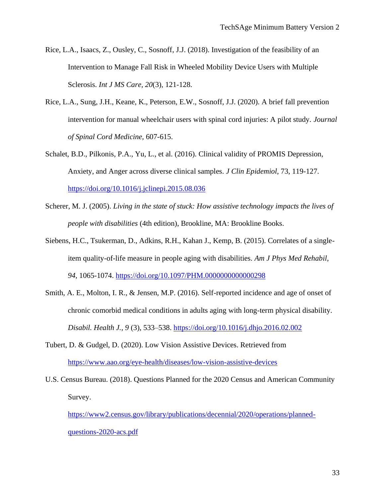- Rice, L.A., Isaacs, Z., Ousley, C., Sosnoff, J.J. (2018). Investigation of the feasibility of an Intervention to Manage Fall Risk in Wheeled Mobility Device Users with Multiple Sclerosis. *Int J MS Care, 20*(3), 121-128.
- Rice, L.A., Sung, J.H., Keane, K., Peterson, E.W., Sosnoff, J.J. (2020). A brief fall prevention intervention for manual wheelchair users with spinal cord injuries: A pilot study. *Journal of Spinal Cord Medicine,* 607-615.
- Schalet, B.D., Pilkonis, P.A., Yu, L., et al. (2016). Clinical validity of PROMIS Depression, Anxiety, and Anger across diverse clinical samples. *J Clin Epidemiol*, 73, 119-127. <https://doi.org/10.1016/j.jclinepi.2015.08.036>
- Scherer, M. J. (2005). *Living in the state of stuck: How assistive technology impacts the lives of people with disabilities* (4th edition), Brookline, MA: Brookline Books.
- Siebens, H.C., Tsukerman, D., Adkins, R.H., Kahan J., Kemp, B. (2015). Correlates of a singleitem quality-of-life measure in people aging with disabilities. *Am J Phys Med Rehabil, 94*, 1065-1074.<https://doi.org/10.1097/PHM.0000000000000298>
- Smith, A. E., Molton, I. R., & Jensen, M.P. (2016). Self-reported incidence and age of onset of chronic comorbid medical conditions in adults aging with long-term physical disability. *Disabil. Health J., 9* (3), 533–538.<https://doi.org/10.1016/j.dhjo.2016.02.002>
- Tubert, D. & Gudgel, D. (2020). Low Vision Assistive Devices. Retrieved from <https://www.aao.org/eye-health/diseases/low-vision-assistive-devices>
- U.S. Census Bureau. (2018). Questions Planned for the 2020 Census and American Community Survey.

[https://www2.census.gov/library/publications/decennial/2020/operations/planned](https://www2.census.gov/library/publications/decennial/2020/operations/planned-questions-2020-acs.pdf)[questions-2020-acs.pdf](https://www2.census.gov/library/publications/decennial/2020/operations/planned-questions-2020-acs.pdf)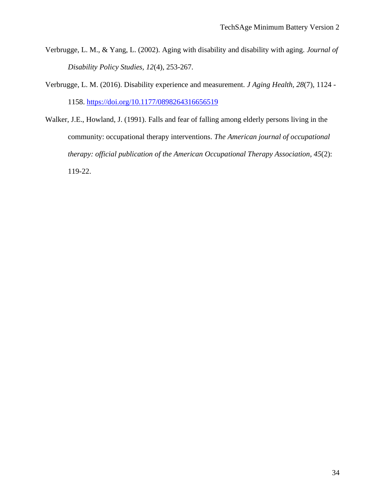- Verbrugge, L. M., & Yang, L. (2002). Aging with disability and disability with aging. *Journal of Disability Policy Studies, 12*(4), 253-267.
- Verbrugge, L. M. (2016). Disability experience and measurement. *J Aging Health, 28*(7), 1124 1158.<https://doi.org/10.1177/0898264316656519>
- Walker, J.E., Howland, J. (1991). Falls and fear of falling among elderly persons living in the community: occupational therapy interventions. *The American journal of occupational therapy: official publication of the American Occupational Therapy Association*, *45*(2): 119-22.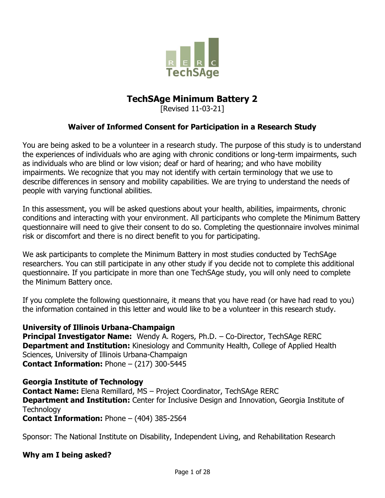

## **TechSAge Minimum Battery 2**

[Revised 11-03-21]

### **Waiver of Informed Consent for Participation in a Research Study**

You are being asked to be a volunteer in a research study. The purpose of this study is to understand the experiences of individuals who are aging with chronic conditions or long-term impairments, such as individuals who are blind or low vision; deaf or hard of hearing; and who have mobility impairments. We recognize that you may not identify with certain terminology that we use to describe differences in sensory and mobility capabilities. We are trying to understand the needs of people with varying functional abilities.

In this assessment, you will be asked questions about your health, abilities, impairments, chronic conditions and interacting with your environment. All participants who complete the Minimum Battery questionnaire will need to give their consent to do so. Completing the questionnaire involves minimal risk or discomfort and there is no direct benefit to you for participating.

We ask participants to complete the Minimum Battery in most studies conducted by TechSAge researchers. You can still participate in any other study if you decide not to complete this additional questionnaire. If you participate in more than one TechSAge study, you will only need to complete the Minimum Battery once.

If you complete the following questionnaire, it means that you have read (or have had read to you) the information contained in this letter and would like to be a volunteer in this research study.

### **University of Illinois Urbana-Champaign**

**Principal Investigator Name:** Wendy A. Rogers, Ph.D. – Co-Director, TechSAge RERC **Department and Institution:** Kinesiology and Community Health, College of Applied Health Sciences, University of Illinois Urbana-Champaign **Contact Information:** Phone – (217) 300-5445

#### **Georgia Institute of Technology**

**Contact Name:** Elena Remillard, MS – Project Coordinator, TechSAge RERC **Department and Institution:** Center for Inclusive Design and Innovation, Georgia Institute of **Technology** 

**Contact Information:** Phone – (404) 385-2564

Sponsor: The National Institute on Disability, Independent Living, and Rehabilitation Research

#### **Why am I being asked?**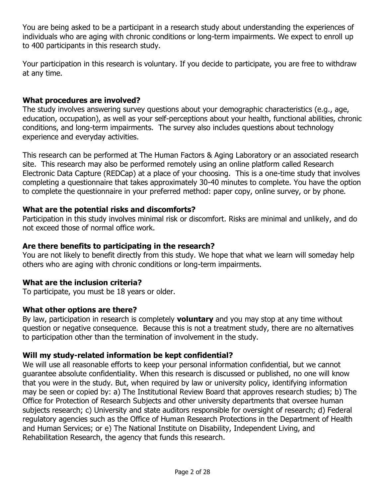You are being asked to be a participant in a research study about understanding the experiences of individuals who are aging with chronic conditions or long-term impairments. We expect to enroll up to 400 participants in this research study.

Your participation in this research is voluntary. If you decide to participate, you are free to withdraw at any time.

### **What procedures are involved?**

The study involves answering survey questions about your demographic characteristics (e.g., age, education, occupation), as well as your self-perceptions about your health, functional abilities, chronic conditions, and long-term impairments. The survey also includes questions about technology experience and everyday activities.

This research can be performed at The Human Factors & Aging Laboratory or an associated research site. This research may also be performed remotely using an online platform called Research Electronic Data Capture (REDCap) at a place of your choosing. This is a one-time study that involves completing a questionnaire that takes approximately 30-40 minutes to complete. You have the option to complete the questionnaire in your preferred method: paper copy, online survey, or by phone.

### **What are the potential risks and discomforts?**

Participation in this study involves minimal risk or discomfort. Risks are minimal and unlikely, and do not exceed those of normal office work.

### **Are there benefits to participating in the research?**

You are not likely to benefit directly from this study. We hope that what we learn will someday help others who are aging with chronic conditions or long-term impairments.

### **What are the inclusion criteria?**

To participate, you must be 18 years or older.

### **What other options are there?**

By law, participation in research is completely **voluntary** and you may stop at any time without question or negative consequence. Because this is not a treatment study, there are no alternatives to participation other than the termination of involvement in the study.

### **Will my study-related information be kept confidential?**

We will use all reasonable efforts to keep your personal information confidential, but we cannot guarantee absolute confidentiality. When this research is discussed or published, no one will know that you were in the study. But, when required by law or university policy, identifying information may be seen or copied by: a) The Institutional Review Board that approves research studies; b) The Office for Protection of Research Subjects and other university departments that oversee human subjects research; c) University and state auditors responsible for oversight of research; d) Federal regulatory agencies such as the Office of Human Research Protections in the Department of Health and Human Services; or e) The National Institute on Disability, Independent Living, and Rehabilitation Research, the agency that funds this research.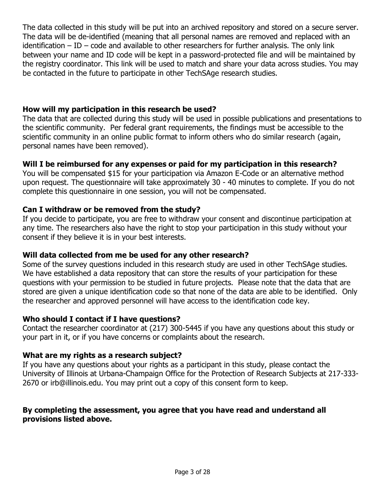The data collected in this study will be put into an archived repository and stored on a secure server. The data will be de-identified (meaning that all personal names are removed and replaced with an identification  $-$  ID  $-$  code and available to other researchers for further analysis. The only link between your name and ID code will be kept in a password-protected file and will be maintained by the registry coordinator. This link will be used to match and share your data across studies. You may be contacted in the future to participate in other TechSAge research studies.

### **How will my participation in this research be used?**

The data that are collected during this study will be used in possible publications and presentations to the scientific community. Per federal grant requirements, the findings must be accessible to the scientific community in an online public format to inform others who do similar research (again, personal names have been removed).

### **Will I be reimbursed for any expenses or paid for my participation in this research?**

You will be compensated \$15 for your participation via Amazon E-Code or an alternative method upon request. The questionnaire will take approximately 30 - 40 minutes to complete. If you do not complete this questionnaire in one session, you will not be compensated.

### **Can I withdraw or be removed from the study?**

If you decide to participate, you are free to withdraw your consent and discontinue participation at any time. The researchers also have the right to stop your participation in this study without your consent if they believe it is in your best interests.

### **Will data collected from me be used for any other research?**

Some of the survey questions included in this research study are used in other TechSAge studies. We have established a data repository that can store the results of your participation for these questions with your permission to be studied in future projects. Please note that the data that are stored are given a unique identification code so that none of the data are able to be identified. Only the researcher and approved personnel will have access to the identification code key.

### **Who should I contact if I have questions?**

Contact the researcher coordinator at (217) 300-5445 if you have any questions about this study or your part in it, or if you have concerns or complaints about the research.

### **What are my rights as a research subject?**

If you have any questions about your rights as a participant in this study, please contact the University of Illinois at Urbana-Champaign Office for the Protection of Research Subjects at 217-333- 2670 or irb@illinois.edu. You may print out a copy of this consent form to keep.

### **By completing the assessment, you agree that you have read and understand all provisions listed above.**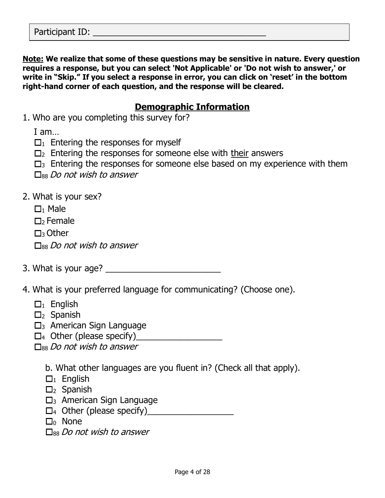**Note: We realize that some of these questions may be sensitive in nature. Every question requires a response, but you can select 'Not Applicable' or 'Do not wish to answer,' or write in "Skip." If you select a response in error, you can click on 'reset' in the bottom right-hand corner of each question, and the response will be cleared.**

## **Demographic Information**

1. Who are you completing this survey for?

I am…

- $\Box_1$  Entering the responses for myself
- $\square$  Entering the responses for someone else with their answers
- $\square_3$  Entering the responses for someone else based on my experience with them
- $\Box$ <sub>88</sub> Do not wish to answer
- 2. What is your sex?
	- $\Box$ <sup>1</sup> Male
	- $\Box$ >Female
	- $\Box$ 3 Other

 $\Box$ <sub>88</sub> Do not wish to answer

- 3. What is your age? \_\_\_\_\_\_\_\_\_\_\_\_\_\_\_\_\_\_\_\_\_\_\_\_
- 4. What is your preferred language for communicating? (Choose one).
	- $\Box_1$  English
	- $\square$ <sub>2</sub> Spanish
	- $\square$ <sub>3</sub> American Sign Language
	- $\Box_4$  Other (please specify)

 $\Box$ <sub>88</sub> Do not wish to answer

b. What other languages are you fluent in? (Check all that apply).

- $\Box_1$  English
- $\square$ <sub>2</sub> Spanish
- $\square$ <sub>3</sub> American Sign Language
- <sup>4</sup> Other (please specify)\_\_\_\_\_\_\_\_\_\_\_\_\_\_\_\_\_\_
- $\Box$  None
- $\square$ <sub>88</sub> Do not wish to answer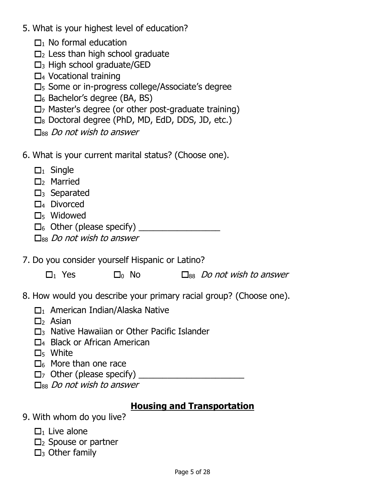- 5. What is your highest level of education?
	- $\Box$ <sub>1</sub> No formal education
	- $\Box$ <sub>2</sub> Less than high school graduate
	- $\square$ <sub>3</sub> High school graduate/GED
	- $\Box$ <sub>4</sub> Vocational training
	- $\square$ <sub>5</sub> Some or in-progress college/Associate's degree
	- $\square_6$  Bachelor's degree (BA, BS)
	- $\square$ <sub>7</sub> Master's degree (or other post-graduate training)
	- $\square_8$  Doctoral degree (PhD, MD, EdD, DDS, JD, etc.)
	- $\Box$ <sub>88</sub> Do not wish to answer
- 6. What is your current marital status? (Choose one).
	- $\Box_1$  Single
	- $\square$ <sub>2</sub> Married
	- $\square$ <sub>3</sub> Separated
	- $\square$ <sub>4</sub> Divorced
	- D<sub>5</sub> Widowed
	- <sup>6</sup> Other (please specify) \_\_\_\_\_\_\_\_\_\_\_\_\_\_\_\_\_
	- $\square$ <sub>88</sub> Do not wish to answer
- 7. Do you consider yourself Hispanic or Latino?

| $\Box_1$ Yes<br>$\square_0$ No | $\square_{88}$ Do not wish to answer |
|--------------------------------|--------------------------------------|
|--------------------------------|--------------------------------------|

- 8. How would you describe your primary racial group? (Choose one).
	- $\square_1$  American Indian/Alaska Native
	- $\Box$ <sub>2</sub> Asian
	- $\square$ <sup>3</sup> Native Hawaiian or Other Pacific Islander
	- □4 Black or African American
	- $\square$ <sub>5</sub> White
	- $\square_6$  More than one race
	- $\Box$  Other (please specify)  $\Box$
	- $\Box$ <sub>88</sub> Do not wish to answer

## **Housing and Transportation**

- 9. With whom do you live?
	- $\Box$ <sub>1</sub> Live alone
	- $\Box_2$  Spouse or partner
	- $\square$ <sub>3</sub> Other family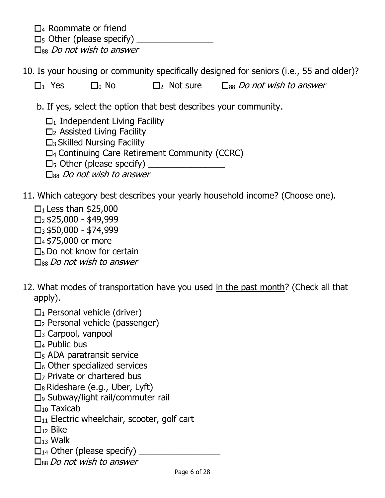$\Box$ 4 Roommate or friend

 $\square_5$  Other (please specify)

 $\Box$ <sub>88</sub> Do not wish to answer

10. Is your housing or community specifically designed for seniors (i.e., 55 and older)?

 $\Box_1$  Yes  $\Box_0$  No  $\Box_2$  Not sure  $\Box_{88}$  Do not wish to answer

b. If yes, select the option that best describes your community.

 $\Box$ <sub>1</sub> Independent Living Facility

 $\Box$ <sub>2</sub> Assisted Living Facility

 $\square$ <sub>3</sub> Skilled Nursing Facility

 $\Box$ <sub>4</sub> Continuing Care Retirement Community (CCRC)

 $\square_5$  Other (please specify)

 $\square$ <sub>88</sub> Do not wish to answer

11. Which category best describes your yearly household income? (Choose one).

- $\Box$ <sub>1</sub> Less than \$25,000  $\Box$ <sub>2</sub> \$25,000 - \$49,999  $\Box$ <sub>3</sub> \$50,000 - \$74,999  $\Box$ 4 \$75,000 or more  $\Box$ <sub>5</sub> Do not know for certain  $\square_{88}$  Do not wish to answer
- 12. What modes of transportation have you used in the past month? (Check all that apply).
	- $\Box_1$  Personal vehicle (driver)
	- $\Box_2$  Personal vehicle (passenger)
	- $\square$ <sub>3</sub> Carpool, vanpool
	- $\square$ 4 Public bus
	- $\square$ <sub>5</sub> ADA paratransit service
	- $\square_6$  Other specialized services
	- $\Box$ <sub>7</sub> Private or chartered bus
	- $\square_8$  Rideshare (e.g., Uber, Lyft)
	- □<sup>9</sup> Subway/light rail/commuter rail
	- $\square_{10}$  Taxicab
	- $\Box_{11}$  Electric wheelchair, scooter, golf cart
	- $\Box_{12}$  Bike
	- $\Box_{13}$  Walk
	- $\Box_{14}$  Other (please specify)
	- $\square$ <sub>88</sub> Do not wish to answer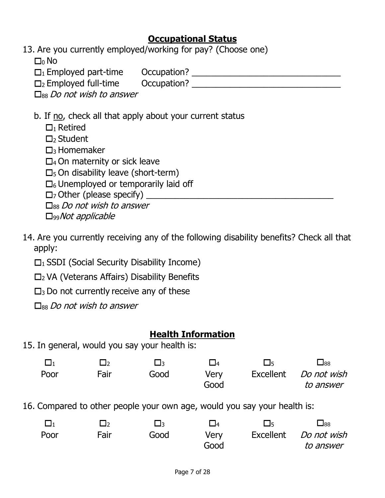## **Occupational Status**

13. Are you currently employed/working for pay? (Choose one)

 $\Box_0$  No

 $\square_1$  Employed part-time  $\qquad$  Occupation?  $\qquad \qquad$ 

 $\square_2$  Employed full-time  $\square$  Occupation?

 $\square$ <sub>88</sub> Do not wish to answer

- b. If no, check all that apply about your current status
	- $\Box$ <sub>1</sub> Retired
	- $\Box$ <sub>2</sub> Student

 $\Box$ <sub>3</sub> Homemaker

 $\Box$ 4 On maternity or sick leave

 $\square$ <sub>5</sub> On disability leave (short-term)

 $\square$ 6 Unemployed or temporarily laid off

 $\Box$  Other (please specify)

 $\square_{88}$  Do not wish to answer

D<sub>99</sub>Not applicable

14. Are you currently receiving any of the following disability benefits? Check all that apply:

 $\Box$ <sub>1</sub> SSDI (Social Security Disability Income)

 $\square$ <sub>2</sub> VA (Veterans Affairs) Disability Benefits

 $\square$ <sub>3</sub> Do not currently receive any of these

 $\square$ <sub>88</sub> Do not wish to answer

## **Health Information**

15. In general, would you say your health is:

|      |      | ⊟∍   | $\Box$ 4 | $\Box$    | $_{\rm 88}$ |
|------|------|------|----------|-----------|-------------|
| Poor | Fair | Good | Very     | Excellent | Do not wish |
|      |      |      | Good     |           | to answer   |

16. Compared to other people your own age, would you say your health is:

|      | ⊣∍   | ा∍   | $\Box$ 4 | └│ҕ       | $\Box$ 88   |
|------|------|------|----------|-----------|-------------|
| Poor | Fair | Good | Verv     | Excellent | Do not wish |
|      |      |      | Good     |           | to answer   |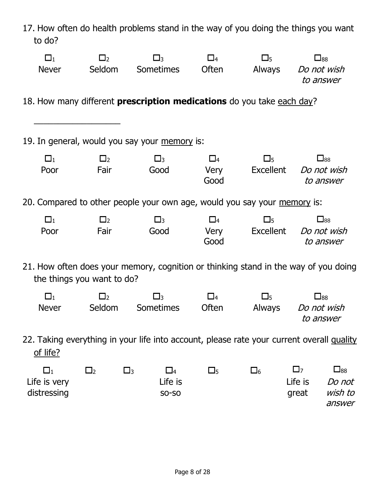| to do?                                  |             | 17. How often do health problems stand in the way of you doing the things you want        |              |                            |                               |                                               |
|-----------------------------------------|-------------|-------------------------------------------------------------------------------------------|--------------|----------------------------|-------------------------------|-----------------------------------------------|
| $\square_1$                             | $\Box_2$    | $\square_3$                                                                               | $\square_4$  | $\square_5$                |                               | $\square_{88}$                                |
| <b>Never</b>                            | Seldom      | Sometimes                                                                                 | Often        | Always Do not wish         |                               | to answer                                     |
|                                         |             | 18. How many different <b>prescription medications</b> do you take each day?              |              |                            |                               |                                               |
|                                         |             | 19. In general, would you say your memory is:                                             |              |                            |                               |                                               |
| $\square_1$                             | $\square_2$ | $\square_3$                                                                               | $\square_4$  | $\square_5$                |                               | $\square_{88}$                                |
| Poor                                    | Fair        | Good                                                                                      | Very<br>Good | Excellent Do not wish      |                               | to answer                                     |
|                                         |             | 20. Compared to other people your own age, would you say your memory is:                  |              |                            |                               |                                               |
| $\square_1$                             | $\square_2$ | $\square_3$                                                                               | $\square_4$  | $\square_5$                |                               | $\square_{88}$                                |
| Poor                                    | Fair        | Good                                                                                      | Good         | Very Excellent Do not wish |                               | to answer                                     |
| the things you want to do?              |             | 21. How often does your memory, cognition or thinking stand in the way of you doing       |              |                            |                               |                                               |
| $\square_1$                             | $\Box_2$    | $\square$ <sub>3</sub>                                                                    | $\square_4$  | $\square_5$                |                               | $\square_{88}$                                |
| <b>Never</b>                            | Seldom      | <b>Sometimes</b>                                                                          | Often        | Always                     |                               | Do not wish<br>to answer                      |
| of life?                                |             | 22. Taking everything in your life into account, please rate your current overall quality |              |                            |                               |                                               |
| $\Box_1$<br>Life is very<br>distressing | $\Box_2$    | $\square_3$<br>$\square_4$<br>Life is<br><b>SO-SO</b>                                     | $\square_5$  | $\square_6$                | $\square$<br>Life is<br>great | $\square_{88}$<br>Do not<br>wish to<br>answer |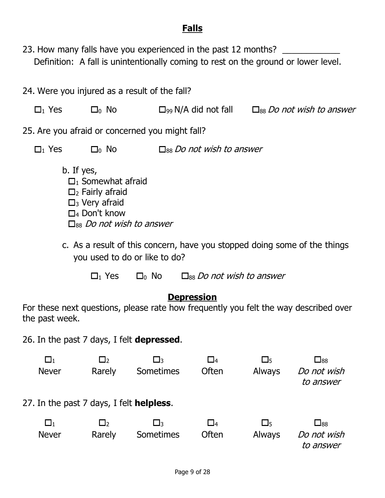## **Falls**

23. How many falls have you experienced in the past 12 months? \_\_\_\_\_\_\_\_\_\_\_\_\_\_\_\_\_ Definition: A fall is unintentionally coming to rest on the ground or lower level.

| 24. Were you injured as a result of the fall?     |                                                                                                                                                       |                                                 |                                                      |                              |                                                                                      |
|---------------------------------------------------|-------------------------------------------------------------------------------------------------------------------------------------------------------|-------------------------------------------------|------------------------------------------------------|------------------------------|--------------------------------------------------------------------------------------|
| $\Box_1$ Yes                                      | $\square_0$ No                                                                                                                                        |                                                 | $\Box_{99}$ N/A did not fall                         |                              | $\square_{88}$ Do not wish to answer                                                 |
|                                                   |                                                                                                                                                       | 25. Are you afraid or concerned you might fall? |                                                      |                              |                                                                                      |
| $\Box_1$ Yes                                      | $\square_0$ No                                                                                                                                        |                                                 | $\square$ <sub>88</sub> <i>Do not wish to answer</i> |                              |                                                                                      |
| b. If yes,                                        | $\Box$ Somewhat afraid<br>$\Box_2$ Fairly afraid<br>$\square$ <sub>3</sub> Very afraid<br>$\Box_4$ Don't know<br>$\square_{88}$ Do not wish to answer |                                                 |                                                      |                              |                                                                                      |
|                                                   | c. As a result of this concern, have you stopped doing some of the things<br>you used to do or like to do?                                            |                                                 |                                                      |                              |                                                                                      |
|                                                   | $\Box_1$ Yes                                                                                                                                          | $\Box_0$ No                                     | $\square_{88}$ Do not wish to answer                 |                              |                                                                                      |
| the past week.                                    |                                                                                                                                                       |                                                 | <u>Depression</u>                                    |                              | For these next questions, please rate how frequently you felt the way described over |
| 26. In the past 7 days, I felt <b>depressed</b> . |                                                                                                                                                       |                                                 |                                                      |                              |                                                                                      |
| <b>Never</b>                                      | Rarely                                                                                                                                                | Sometimes                                       | 4ـ<br>Often                                          | 5ـ<br><b>Always</b>          | $\Box$ 88<br>Do not wish<br>to answer                                                |
| 27. In the past 7 days, I felt <b>helpless</b> .  |                                                                                                                                                       |                                                 |                                                      |                              |                                                                                      |
| $\Box_1$<br><b>Never</b>                          | $\Box_2$<br>Rarely                                                                                                                                    | $\square_3$<br>Sometimes                        | $\square_4$<br>Often                                 | $\square_5$<br><b>Always</b> | $\square_{88}$<br>Do not wish<br>to answer                                           |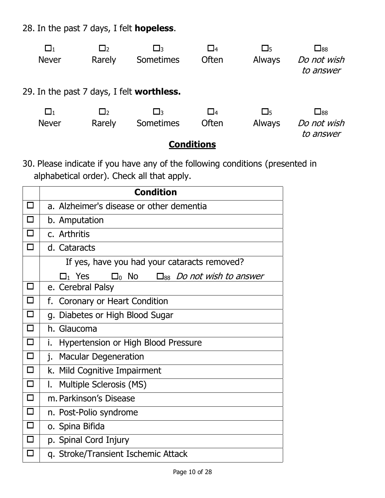28. In the past 7 days, I felt **hopeless**.

| $\Box_1$                                         | $\Box_2$ | ЕЧ        | $\Box$ 4    | $\square_5$ | $\square_{88}$           |  |  |
|--------------------------------------------------|----------|-----------|-------------|-------------|--------------------------|--|--|
| <b>Never</b>                                     | Rarely   | Sometimes | Often       | Always      | Do not wish<br>to answer |  |  |
| 29. In the past 7 days, I felt <b>worthless.</b> |          |           |             |             |                          |  |  |
| $\Box_1$                                         | $\Box$   | ЕЧ        | $\square_4$ | $\square_5$ | $\square_{88}$           |  |  |
| <b>Never</b>                                     | Rarely   | Sometimes | Often       | Always      | Do not wish<br>to answer |  |  |
| <b>Conditions</b>                                |          |           |             |             |                          |  |  |

30. Please indicate if you have any of the following conditions (presented in alphabetical order). Check all that apply.

|        | <b>Condition</b>                                                                      |
|--------|---------------------------------------------------------------------------------------|
| $\Box$ | a. Alzheimer's disease or other dementia                                              |
| $\Box$ | b. Amputation                                                                         |
| $\Box$ | c. Arthritis                                                                          |
| П      | d. Cataracts                                                                          |
|        | If yes, have you had your cataracts removed?                                          |
|        | $\square_0$ No<br>$\mathsf{\Xi}_1$ Yes<br>$\square_{88}$ <i>Do not wish to answer</i> |
| □      | e. Cerebral Palsy                                                                     |
| $\Box$ | f. Coronary or Heart Condition                                                        |
| □      | g. Diabetes or High Blood Sugar                                                       |
| $\Box$ | h. Glaucoma                                                                           |
| $\Box$ | Hypertension or High Blood Pressure<br>i.                                             |
| $\Box$ | j.<br><b>Macular Degeneration</b>                                                     |
| $\Box$ | k. Mild Cognitive Impairment                                                          |
| $\Box$ | I.<br>Multiple Sclerosis (MS)                                                         |
| $\Box$ | m. Parkinson's Disease                                                                |
| $\Box$ | n. Post-Polio syndrome                                                                |
| $\Box$ | o. Spina Bifida                                                                       |
| $\Box$ | p. Spinal Cord Injury                                                                 |
|        | q. Stroke/Transient Ischemic Attack                                                   |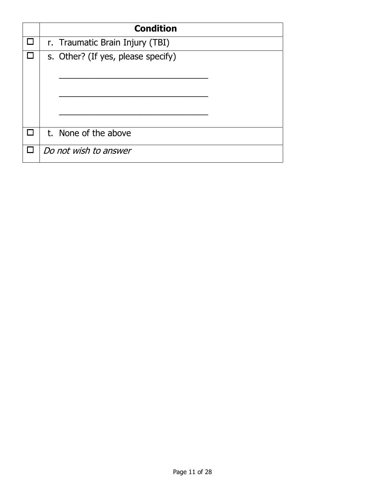|  | <b>Condition</b>                   |
|--|------------------------------------|
|  | r. Traumatic Brain Injury (TBI)    |
|  | s. Other? (If yes, please specify) |
|  | t. None of the above               |
|  | Do not wish to answer              |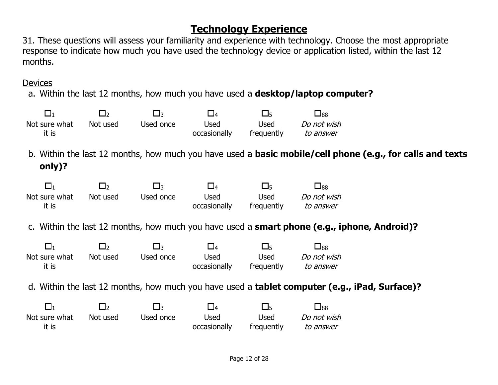## **Technology Experience**

31. These questions will assess your familiarity and experience with technology. Choose the most appropriate response to indicate how much you have used the technology device or application listed, within the last 12 months.

Devices

a. Within the last 12 months, how much you have used a **desktop/laptop computer?**

| $\square_1$                                                                                          | $\square_2$ | 凵3          | $\square_4$  | $\square$   | $\square_{88}$          |                                                                                                                  |
|------------------------------------------------------------------------------------------------------|-------------|-------------|--------------|-------------|-------------------------|------------------------------------------------------------------------------------------------------------------|
| Not sure what                                                                                        | Not used    | Used once   | <b>Used</b>  | <b>Used</b> | Do not wish             |                                                                                                                  |
| it is                                                                                                |             |             | occasionally | frequently  | to answer               |                                                                                                                  |
| only)?                                                                                               |             |             |              |             |                         | b. Within the last 12 months, how much you have used a <b>basic mobile/cell phone (e.g., for calls and texts</b> |
| $\square_1$                                                                                          | $\square_2$ | $\square_3$ | $\square_4$  | $\square$   | $\square$ <sub>88</sub> |                                                                                                                  |
| Not sure what                                                                                        | Not used    | Used once   | <b>Used</b>  | <b>Used</b> | Do not wish             |                                                                                                                  |
| it is                                                                                                |             |             | occasionally | frequently  | to answer               |                                                                                                                  |
|                                                                                                      |             |             |              |             |                         | c. Within the last 12 months, how much you have used a <b>smart phone (e.g., iphone, Android)?</b>               |
| $\Box_1$                                                                                             | $\square_2$ | $\square_3$ | $\square_4$  | $\square$   | $\square$ <sub>88</sub> |                                                                                                                  |
| Not sure what                                                                                        | Not used    | Used once   | <b>Used</b>  | Used        | Do not wish             |                                                                                                                  |
| it is                                                                                                |             |             | occasionally | frequently  | to answer               |                                                                                                                  |
| d. Within the last 12 months, how much you have used a <b>tablet computer (e.g., iPad, Surface)?</b> |             |             |              |             |                         |                                                                                                                  |
| $\Box_1$                                                                                             | $\square_2$ | $\square_3$ | $\square_4$  | $\square_5$ | $\square_{88}$          |                                                                                                                  |
| Not sure what                                                                                        | Not used    | Used once   | <b>Used</b>  | Used        | Do not wish             |                                                                                                                  |
| it is                                                                                                |             |             |              |             |                         |                                                                                                                  |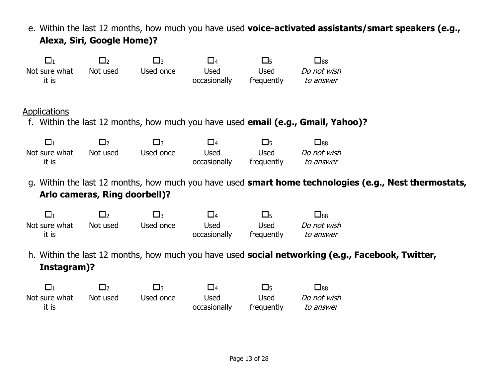e. Within the last 12 months, how much you have used **voice-activated assistants/smart speakers (e.g., Alexa, Siri, Google Home)?** 1 2 3 4 5 88 Not sure what it is Not used Used once Used occasionally Used frequently Do not wish to answer **Applications** f. Within the last 12 months, how much you have used **email (e.g., Gmail, Yahoo)?** 1 2 3 4 5 88 Not sure what it is Not used Used once Used occasionally Used frequently Do not wish to answer g. Within the last 12 months, how much you have used **smart home technologies (e.g., Nest thermostats, Arlo cameras, Ring doorbell)?** 1 2 3 4 5 88 Not sure what it is Not used Used once Used occasionally Used frequently Do not wish to answer h. Within the last 12 months, how much you have used **social networking (e.g., Facebook, Twitter, Instagram)?** 1 2 3 4 5 88 Not sure what it is Not used Used once Used occasionally Used frequently Do not wish to answer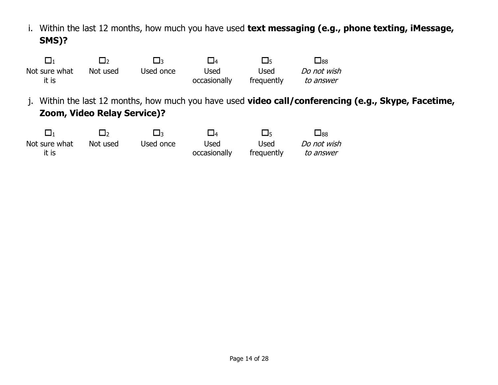i. Within the last 12 months, how much you have used **text messaging (e.g., phone texting, iMessage, SMS)?**

|                        |          | ៸∃∍       | $\Box$ 4             | । । ऽ      | 口88         |
|------------------------|----------|-----------|----------------------|------------|-------------|
| Not sure what<br>it is | Not used | Used once | Used<br>occasionally | Used       | Do not wish |
|                        |          |           |                      | frequently | to answer   |

j. Within the last 12 months, how much you have used **video call/conferencing (e.g., Skype, Facetime, Zoom, Video Relay Service)?**

|                        | l Io     | ⊣่ว       | $\Box$ 4             | 口5                 | $\square_{88}$           |
|------------------------|----------|-----------|----------------------|--------------------|--------------------------|
| Not sure what<br>it is | Not used | Used once | Used<br>occasionally | Used<br>frequently | Do not wish<br>to answer |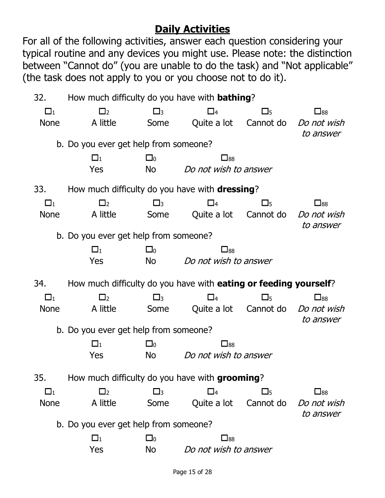# **Daily Activities**

For all of the following activities, answer each question considering your typical routine and any devices you might use. Please note: the distinction between "Cannot do" (you are unable to do the task) and "Not applicable" (the task does not apply to you or you choose not to do it).

| 32.         | How much difficulty do you have with <b>bathing</b> ?                    |             |                       |                       |                                                       |
|-------------|--------------------------------------------------------------------------|-------------|-----------------------|-----------------------|-------------------------------------------------------|
| $\square_1$ | $\Box_2$                                                                 | $\square_3$ | $\square_4$           | $\square$             | $\square_{88}$                                        |
| <b>None</b> | A little                                                                 | Some        | Quite a lot           |                       | Cannot do <i>Do not wish</i><br>to answer             |
|             | b. Do you ever get help from someone?                                    |             |                       |                       |                                                       |
|             | $\Box_1$                                                                 | $\square_0$ | $\square_{88}$        |                       |                                                       |
|             | Yes                                                                      | No          | Do not wish to answer |                       |                                                       |
| 33.         | How much difficulty do you have with <b>dressing</b> ?                   |             |                       |                       |                                                       |
| $\square_1$ | $\Box_2$                                                                 | $\square_3$ | $\square_4$           | $\square_5$           | $\square_{88}$                                        |
| <b>None</b> | A little                                                                 | Some        |                       | Quite a lot Cannot do | Do not wish<br>to answer                              |
|             | b. Do you ever get help from someone?                                    |             |                       |                       |                                                       |
|             | $\square_1$                                                              | $\square_0$ | $\square_{88}$        |                       |                                                       |
|             | Yes                                                                      | <b>No</b>   | Do not wish to answer |                       |                                                       |
|             |                                                                          |             |                       |                       |                                                       |
| 34.         | How much difficulty do you have with <b>eating or feeding yourself</b> ? |             |                       |                       |                                                       |
| $\square_1$ | $\Box_2$                                                                 | $\square_3$ | $\square_4$           | $\square_5$           | $\square$ <sub>88</sub>                               |
| <b>None</b> | A little                                                                 | Some        |                       |                       | Quite a lot Cannot do <i>Do not wish</i><br>to answer |
|             | b. Do you ever get help from someone?                                    |             |                       |                       |                                                       |
|             | $\Box_1$                                                                 | $\square_0$ | $\Box_{88}$           |                       |                                                       |
|             | Yes                                                                      | No          | Do not wish to answer |                       |                                                       |
| 35.         | How much difficulty do you have with grooming?                           |             |                       |                       |                                                       |
| $\square_1$ | $\Box_2$                                                                 | $\square_3$ | $\square_4$           | $\square_5$           | $\square_{88}$                                        |
| <b>None</b> | A little                                                                 | Some        | Quite a lot           | Cannot do             | Do not wish<br>to answer                              |
|             | b. Do you ever get help from someone?                                    |             |                       |                       |                                                       |
|             | $\square_1$                                                              | $\Box_0$    | $\square_{88}$        |                       |                                                       |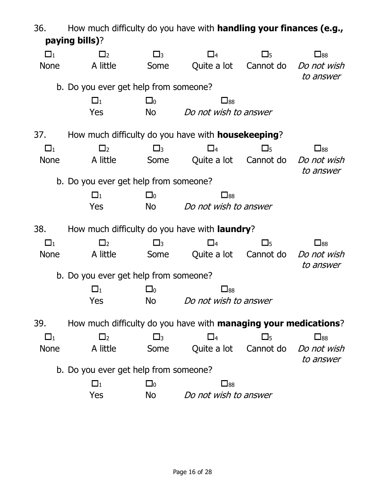| 36.         | How much difficulty do you have with <b>handling your finances (e.g.,</b> |             |                       |             |                                                       |
|-------------|---------------------------------------------------------------------------|-------------|-----------------------|-------------|-------------------------------------------------------|
|             | paying bills)?                                                            |             |                       |             |                                                       |
| $\square_1$ | $\Box_2$                                                                  | $\square_3$ | $\square_4$           | $\square_5$ | $\square_{88}$                                        |
| <b>None</b> | A little                                                                  | Some        |                       |             | Quite a lot Cannot do <i>Do not wish</i><br>to answer |
|             | b. Do you ever get help from someone?                                     |             |                       |             |                                                       |
|             | $\square_1$                                                               | $\square_0$ | $\square_{88}$        |             |                                                       |
|             | Yes                                                                       | No          | Do not wish to answer |             |                                                       |
| 37.         | How much difficulty do you have with <b>housekeeping</b> ?                |             |                       |             |                                                       |
| $\square_1$ | $\Box_2$                                                                  | $\square_3$ | $\square_4$           | $\square$   | $\square$ 88                                          |
| <b>None</b> | A little                                                                  | Some        |                       |             | Quite a lot Cannot do <i>Do not wish</i><br>to answer |
|             | b. Do you ever get help from someone?                                     |             |                       |             |                                                       |
|             | $\square_1$                                                               | $\square_0$ | $\square_{88}$        |             |                                                       |
|             | Yes                                                                       | No          | Do not wish to answer |             |                                                       |
| 38.         | How much difficulty do you have with <b>laundry</b> ?                     |             |                       |             |                                                       |
| $\square_1$ | $\Box$                                                                    | $\square_3$ | $\square_4$           | $\square$   | $\square$ <sub>88</sub>                               |
| <b>None</b> | A little                                                                  | Some        |                       |             | Quite a lot Cannot do <i>Do not wish</i><br>to answer |
|             | b. Do you ever get help from someone?                                     |             |                       |             |                                                       |
|             | $\square_1$                                                               | $\square_0$ | $\square_{88}$        |             |                                                       |
|             | Yes                                                                       | No          | Do not wish to answer |             |                                                       |
| 39.         | How much difficulty do you have with <b>managing your medications</b> ?   |             |                       |             |                                                       |
| $\square_1$ | $\Box_2$                                                                  | $\square_3$ | $\square_4$           | $\square$   | $\square_{88}$                                        |
| <b>None</b> | A little                                                                  | Some        |                       |             | Quite a lot Cannot do <i>Do not wish</i><br>to answer |
|             | b. Do you ever get help from someone?                                     |             |                       |             |                                                       |
|             | $\Box_1$                                                                  | $\square_0$ | $\square_{88}$        |             |                                                       |
|             | Yes                                                                       | <b>No</b>   | Do not wish to answer |             |                                                       |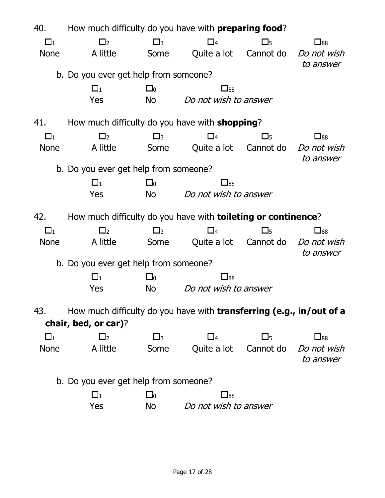| 40.         | How much difficulty do you have with <b>preparing food</b> ?          |             |                       |             |                                                       |
|-------------|-----------------------------------------------------------------------|-------------|-----------------------|-------------|-------------------------------------------------------|
| $\square_1$ | $\Box_2$                                                              | $\square_3$ | $\square_4$           | $\square$   | $\square_{88}$                                        |
| <b>None</b> | A little                                                              | Some        |                       |             | Quite a lot Cannot do <i>Do not wish</i><br>to answer |
|             | b. Do you ever get help from someone?                                 |             |                       |             |                                                       |
|             | $\square_1$                                                           | $\square_0$ | $\square_{88}$        |             |                                                       |
|             | Yes                                                                   | No l        | Do not wish to answer |             |                                                       |
| 41.         | How much difficulty do you have with <b>shopping</b> ?                |             |                       |             |                                                       |
| $\square_1$ | $\Box_2$                                                              | $\square_3$ | $\Box_4$              | $\square_5$ | $\square$ <sub>88</sub>                               |
| <b>None</b> | A little                                                              | Some        |                       |             | Quite a lot Cannot do <i>Do not wish</i><br>to answer |
|             | b. Do you ever get help from someone?                                 |             |                       |             |                                                       |
|             | $\Box_1$                                                              | $\square_0$ | $\square_{88}$        |             |                                                       |
|             | Yes                                                                   | No.         | Do not wish to answer |             |                                                       |
| 42.         | How much difficulty do you have with <b>toileting or continence</b> ? |             |                       |             |                                                       |
| $\Box_1$    | $\Box_2$                                                              | $\square_3$ | $\square_4$           | $\square$   | $\square_{88}$                                        |
| <b>None</b> | A little                                                              | Some        |                       |             | Quite a lot Cannot do <i>Do not wish</i><br>to answer |
|             | b. Do you ever get help from someone?                                 |             |                       |             |                                                       |
|             | $\square_1$                                                           | $\square_0$ | $\square_{88}$        |             |                                                       |
|             | Yes                                                                   | No          | Do not wish to answer |             |                                                       |
| 43.         | How much difficulty do you have with transferring (e.g., in/out of a  |             |                       |             |                                                       |
|             | chair, bed, or car)?                                                  |             |                       |             |                                                       |
| $\square_1$ | $\Box_2$                                                              | $\square_3$ | $\square_4$           | $\square_5$ | $\square_{88}$                                        |
| <b>None</b> | A little                                                              | Some        | Quite a lot           | Cannot do   | Do not wish<br>to answer                              |
|             | b. Do you ever get help from someone?                                 |             |                       |             |                                                       |
|             | $\square_1$                                                           | $\square_0$ | $\square_{88}$        |             |                                                       |
|             | Yes                                                                   | No          | Do not wish to answer |             |                                                       |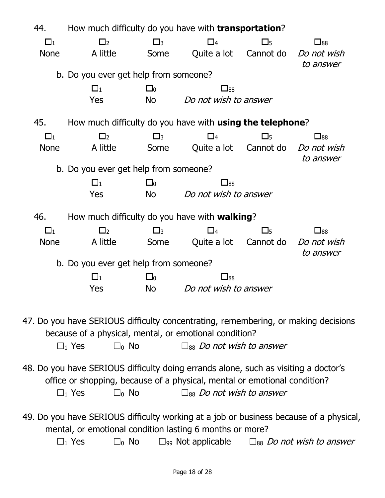| 44.         | How much difficulty do you have with <b>transportation</b> ?                                                                                                 |                        |                                                     |           |                                                                                    |
|-------------|--------------------------------------------------------------------------------------------------------------------------------------------------------------|------------------------|-----------------------------------------------------|-----------|------------------------------------------------------------------------------------|
| $\Box_1$    | $\Box_2$                                                                                                                                                     | $\square_3$            | $\square_4$                                         | $\square$ | $\square_{88}$                                                                     |
| <b>None</b> | A little                                                                                                                                                     | Some                   | Quite a lot Cannot do                               |           | Do not wish                                                                        |
|             |                                                                                                                                                              |                        |                                                     |           | to answer                                                                          |
|             | b. Do you ever get help from someone?                                                                                                                        |                        |                                                     |           |                                                                                    |
|             | $\square_1$                                                                                                                                                  | $\square_0$            | $\square_{88}$                                      |           |                                                                                    |
|             | Yes                                                                                                                                                          | No                     | Do not wish to answer                               |           |                                                                                    |
| 45.         | How much difficulty do you have with <b>using the telephone</b> ?                                                                                            |                        |                                                     |           |                                                                                    |
| $\Box_1$    | $\Box_2$                                                                                                                                                     | $\square_3$            | $\square_4$                                         | $\square$ | $\square$ <sub>88</sub>                                                            |
| <b>None</b> | A little                                                                                                                                                     | Some                   | Quite a lot Cannot do                               |           | Do not wish                                                                        |
|             |                                                                                                                                                              |                        |                                                     |           | to answer                                                                          |
|             | b. Do you ever get help from someone?                                                                                                                        |                        |                                                     |           |                                                                                    |
|             | $\square_1$                                                                                                                                                  | $\square_0$            | $\square_{88}$                                      |           |                                                                                    |
|             | Yes                                                                                                                                                          | <b>No</b>              | Do not wish to answer                               |           |                                                                                    |
|             |                                                                                                                                                              |                        |                                                     |           |                                                                                    |
| 46.         | How much difficulty do you have with walking?                                                                                                                |                        |                                                     |           |                                                                                    |
| $\square_1$ | $\Box_2$                                                                                                                                                     | $\square$ <sub>3</sub> | $\square_4$                                         | $\square$ | $\square$ <sub>88</sub>                                                            |
| <b>None</b> | A little                                                                                                                                                     | Some                   | Quite a lot Cannot do                               |           | Do not wish<br>to answer                                                           |
|             | b. Do you ever get help from someone?                                                                                                                        |                        |                                                     |           |                                                                                    |
|             | $\Box_1$                                                                                                                                                     | $\square_0$            | $\square_{88}$                                      |           |                                                                                    |
|             | Yes                                                                                                                                                          | <b>No</b>              | Do not wish to answer                               |           |                                                                                    |
|             |                                                                                                                                                              |                        |                                                     |           |                                                                                    |
|             | 47. Do you have SERIOUS difficulty concentrating, remembering, or making decisions<br>because of a physical, mental, or emotional condition?<br>$\Box_1$ Yes |                        | $\square_0$ No $\square_{88}$ Do not wish to answer |           |                                                                                    |
|             | 48. Do you have SERIOUS difficulty doing errands alone, such as visiting a doctor's                                                                          |                        |                                                     |           |                                                                                    |
|             | office or shopping, because of a physical, mental or emotional condition?                                                                                    |                        |                                                     |           |                                                                                    |
|             | $\square_0$ No<br>$\square_1$ Yes                                                                                                                            |                        | $\square_{88}$ Do not wish to answer                |           |                                                                                    |
|             |                                                                                                                                                              |                        |                                                     |           |                                                                                    |
|             | 49. Do you have SERIOUS difficulty working at a job or business because of a physical,<br>mental, or emotional condition lasting 6 months or more?           |                        |                                                     |           |                                                                                    |
|             | $\square_1$ Yes<br>$\square_0$ No                                                                                                                            |                        |                                                     |           | $\square$ <sub>99</sub> Not applicable $\square_{88}$ <i>Do not wish to answer</i> |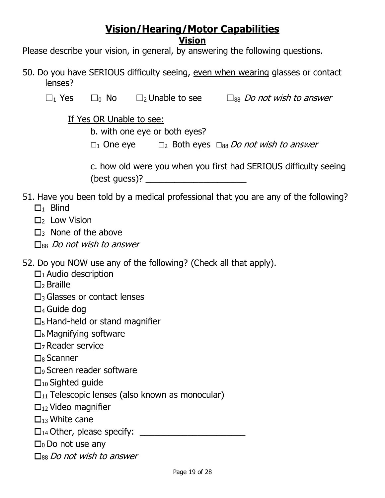# **Vision/Hearing/Motor Capabilities**

**Vision**

Please describe your vision, in general, by answering the following questions.

- 50. Do you have SERIOUS difficulty seeing, even when wearing glasses or contact lenses?
	- $\square_1$  Yes  $\square_0$  No  $\square_2$  Unable to see  $\square_{88}$  Do not wish to answer

If Yes OR Unable to see:

b. with one eye or both eyes?

 $\square_1$  One eye  $\square_2$  Both eyes  $\square_{88}$  Do not wish to answer

c. how old were you when you first had SERIOUS difficulty seeing  $(best guess)?$ 

- 51. Have you been told by a medical professional that you are any of the following?  $\Box_1$  Blind
	- $\Box$ <sub>2</sub> Low Vision
	- $\Box$ 3 None of the above
	- $\square$ <sub>88</sub> Do not wish to answer

52. Do you NOW use any of the following? (Check all that apply).

- $\Box_1$  Audio description
- $\square$  Braille
- $\square$ <sub>3</sub> Glasses or contact lenses
- $\Box$ 4 Guide dog
- $\square$ <sub>5</sub> Hand-held or stand magnifier
- $\square_6$  Magnifying software
- $\Box$ <sub>7</sub> Reader service
- $\square$ <sub>8</sub> Scanner
- $\Box$ <sub>9</sub> Screen reader software
- $\square_{10}$  Sighted guide
- $\square_{11}$  Telescopic lenses (also known as monocular)
- $\Box_{12}$  Video magnifier
- $\Box_{13}$  White cane
- <sup>14</sup> Other, please specify: \_\_\_\_\_\_\_\_\_\_\_\_\_\_\_\_\_\_\_\_\_\_
- $\square$ <sub>0</sub> Do not use any
- $\square$ <sub>88</sub> Do not wish to answer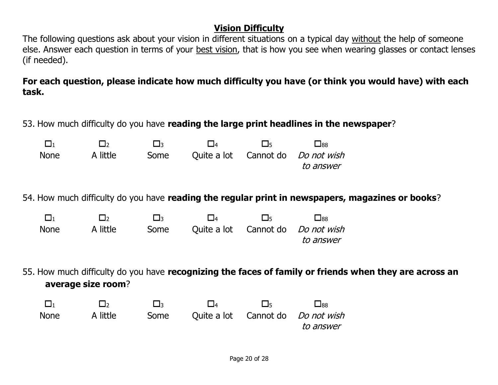## **Vision Difficulty**

The following questions ask about your vision in different situations on a typical day without the help of someone else. Answer each question in terms of your best vision, that is how you see when wearing glasses or contact lenses (if needed).

**For each question, please indicate how much difficulty you have (or think you would have) with each task.**

53. How much difficulty do you have **reading the large print headlines in the newspaper**?

| $\Box$      | ا جا آ   | l Io |  | $\Box$ 88                                |
|-------------|----------|------|--|------------------------------------------|
| <b>None</b> | A little | Some |  | Quite a lot Cannot do <i>Do not wish</i> |
|             |          |      |  | to answer                                |

54. How much difficulty do you have **reading the regular print in newspapers, magazines or books**?

|             | l b      | $\mathsf{L}$ | $\Box$ | $\Box$ | $\Box$ 88                                             |
|-------------|----------|--------------|--------|--------|-------------------------------------------------------|
| <b>None</b> | A little | Some         |        |        | Quite a lot Cannot do <i>Do not wish</i><br>to answer |
|             |          |              |        |        |                                                       |

55. How much difficulty do you have **recognizing the faces of family or friends when they are across an average size room**?

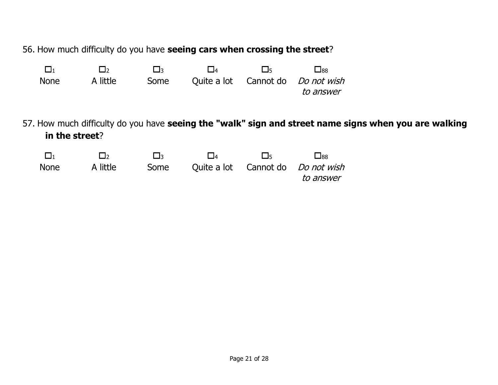56. How much difficulty do you have **seeing cars when crossing the street**?

| $\Box_1$       | $\Box$   | $\square_3$ | $\square_4$ | $\square_5$ | $\square$ 88             |                                                                                                       |
|----------------|----------|-------------|-------------|-------------|--------------------------|-------------------------------------------------------------------------------------------------------|
| <b>None</b>    | A little | Some        | Ouite a lot | Cannot do   | Do not wish<br>to answer |                                                                                                       |
| in the street? |          |             |             |             |                          | 57. How much difficulty do you have seeing the "walk" sign and street name signs when you are walking |
| $\Box_1$       | $\Box$   | $\square_3$ | $\square_4$ | 口5          | $\square$ <sub>88</sub>  |                                                                                                       |
| <b>None</b>    | A little | Some        | Ouite a lot | Cannot do   | Do not wish<br>to answer |                                                                                                       |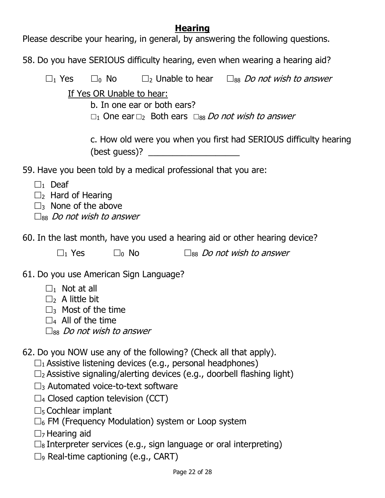## **Hearing**

Please describe your hearing, in general, by answering the following questions.

58. Do you have SERIOUS difficulty hearing, even when wearing a hearing aid?

 $\Box_1$  Yes  $\Box_0$  No  $\Box_2$  Unable to hear  $\Box_{88}$  Do not wish to answer

If Yes OR Unable to hear:

b. In one ear or both ears?

 $\Box_1$  One ear  $\Box_2$  Both ears  $\Box_{88}$  Do not wish to answer

c. How old were you when you first had SERIOUS difficulty hearing  $(best guess)?$ 

59. Have you been told by a medical professional that you are:

- $\Box$ <sub>1</sub> Deaf
- $\square$ <sub>2</sub> Hard of Hearing
- $\square$ 3 None of the above

 $\Box$ 88 *Do not wish to answer* 

60. In the last month, have you used a hearing aid or other hearing device?

| $\Box_1$ Yes<br>$\square_0$ No | $\square$ <sub>88</sub> <i>Do not wish to answer</i> |  |
|--------------------------------|------------------------------------------------------|--|
|--------------------------------|------------------------------------------------------|--|

61. Do you use American Sign Language?

- $\Box_1$  Not at all
- $\Box$ <sub>2</sub> A little bit
- $\square$ <sub>3</sub> Most of the time
- $\square$ 4 All of the time
- $\Box$ 88 *Do not wish to answer*

62. Do you NOW use any of the following? (Check all that apply).

 $\square_1$  Assistive listening devices (e.g., personal headphones)

- $\square$ <sub>2</sub> Assistive signaling/alerting devices (e.g., doorbell flashing light)
- $\square$ <sub>3</sub> Automated voice-to-text software
- $\square$ 4 Closed caption television (CCT)
- $\square$ <sub>5</sub> Cochlear implant
- $\square_6$  FM (Frequency Modulation) system or Loop system
- $\Box$ <sub>7</sub> Hearing aid
- $\square_8$  Interpreter services (e.g., sign language or oral interpreting)
- $\square$ <sub>9</sub> Real-time captioning (e.g., CART)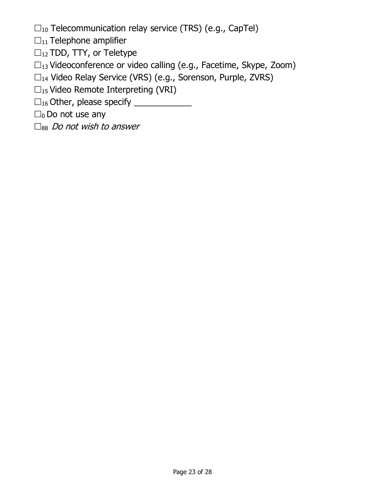- $\square_{10}$  Telecommunication relay service (TRS) (e.g., CapTel)
- $\square_{11}$  Telephone amplifier
- $\square_{12}$  TDD, TTY, or Teletype
- $\square_{13}$  Videoconference or video calling (e.g., Facetime, Skype, Zoom)
- $\square_{14}$  Video Relay Service (VRS) (e.g., Sorenson, Purple, ZVRS)
- $\square$ <sub>15</sub> Video Remote Interpreting (VRI)
- $\square_{16}$  Other, please specify \_\_\_\_\_\_\_\_\_\_\_\_\_
- $\square_0$  Do not use any
- $\square_{88}$  Do not wish to answer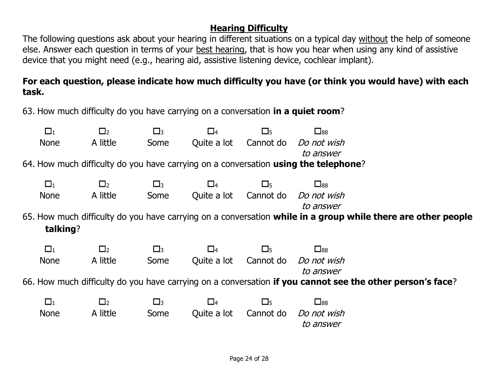## **Hearing Difficulty**

The following questions ask about your hearing in different situations on a typical day without the help of someone else. Answer each question in terms of your best hearing, that is how you hear when using any kind of assistive device that you might need (e.g., hearing aid, assistive listening device, cochlear implant).

## **For each question, please indicate how much difficulty you have (or think you would have) with each task.**

63. How much difficulty do you have carrying on a conversation **in a quiet room**?

| $\square_1$                                                                         | $\Box$   | $\square_3$ | $\square_4$ | $\square_5$ | $\square_{88}$                                                                                               |  |  |  |
|-------------------------------------------------------------------------------------|----------|-------------|-------------|-------------|--------------------------------------------------------------------------------------------------------------|--|--|--|
| <b>None</b>                                                                         | A little | Some        | Quite a lot | Cannot do   | Do not wish                                                                                                  |  |  |  |
|                                                                                     |          |             |             |             | to answer                                                                                                    |  |  |  |
| 64. How much difficulty do you have carrying on a conversation using the telephone? |          |             |             |             |                                                                                                              |  |  |  |
|                                                                                     |          |             |             |             |                                                                                                              |  |  |  |
| $\square_1$                                                                         | $\Box_2$ | $\square_3$ | $\Box_4$    | $\square_5$ | $\square_{88}$                                                                                               |  |  |  |
| <b>None</b>                                                                         | A little | Some        | Quite a lot | Cannot do   | Do not wish                                                                                                  |  |  |  |
|                                                                                     |          |             |             |             | to answer                                                                                                    |  |  |  |
|                                                                                     |          |             |             |             | 65. How much difficulty do you have carrying on a conversation while in a group while there are other people |  |  |  |
| talking?                                                                            |          |             |             |             |                                                                                                              |  |  |  |
|                                                                                     |          |             |             |             |                                                                                                              |  |  |  |
| $\Box_1$                                                                            | $\Box$   | $\square_3$ | $\Box_4$    | $\square$   | $\square_{88}$                                                                                               |  |  |  |
|                                                                                     |          |             |             |             |                                                                                                              |  |  |  |
| <b>None</b>                                                                         | A little | Some        | Quite a lot | Cannot do   | Do not wish                                                                                                  |  |  |  |
|                                                                                     |          |             |             |             | to answer                                                                                                    |  |  |  |
|                                                                                     |          |             |             |             |                                                                                                              |  |  |  |
|                                                                                     |          |             |             |             | 66. How much difficulty do you have carrying on a conversation if you cannot see the other person's face?    |  |  |  |
| $\square_1$                                                                         | $\Box_2$ | $\square_3$ | $\square_4$ | $\square$   | $\square_{88}$                                                                                               |  |  |  |
| <b>None</b>                                                                         | A little | Some        | Quite a lot | Cannot do   | Do not wish                                                                                                  |  |  |  |
|                                                                                     |          |             |             |             | to answer                                                                                                    |  |  |  |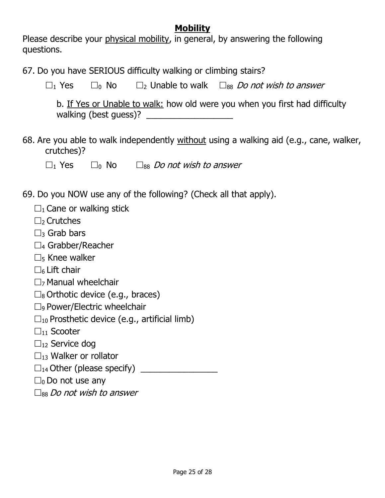## **Mobility**

Please describe your physical mobility, in general, by answering the following questions.

67. Do you have SERIOUS difficulty walking or climbing stairs?

 $\square_1$  Yes  $\square_0$  No  $\square_2$  Unable to walk  $\square_{88}$  Do not wish to answer

b. If Yes or Unable to walk: how old were you when you first had difficulty walking (best quess)?

68. Are you able to walk independently without using a walking aid (e.g., cane, walker, crutches)?

 $\square_1$  Yes  $\square_0$  No  $\square_{88}$  Do not wish to answer

69. Do you NOW use any of the following? (Check all that apply).

| $\Box_1$ Cane or walking stick |  |  |
|--------------------------------|--|--|
|--------------------------------|--|--|

- $\Box$  Crutches
- $\Box$ 3 Grab bars
- $\Box_4$  Grabber/Reacher
- $\square$ <sub>5</sub> Knee walker
- $\square$ 6 Lift chair
- $\Box$ <sub>7</sub> Manual wheelchair
- $\square_8$  Orthotic device (e.g., braces)
- $\square$ <sub>9</sub> Power/Electric wheelchair
- $\square_{10}$  Prosthetic device (e.g., artificial limb)
- $\square_{11}$  Scooter
- $\square_{12}$  Service dog
- $\square_{13}$  Walker or rollator
- $\square_{14}$  Other (please specify)
- $\square_0$  Do not use any
- $\square_{88}$  Do not wish to answer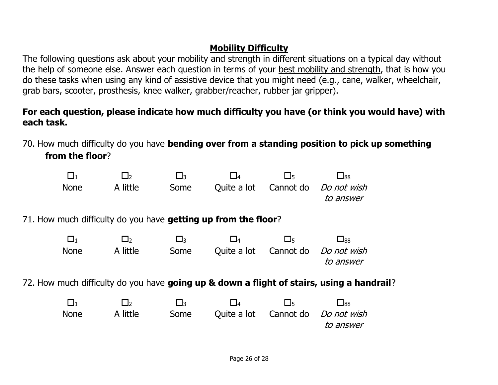## **Mobility Difficulty**

The following questions ask about your mobility and strength in different situations on a typical day without the help of someone else. Answer each question in terms of your best mobility and strength, that is how you do these tasks when using any kind of assistive device that you might need (e.g., cane, walker, wheelchair, grab bars, scooter, prosthesis, knee walker, grabber/reacher, rubber jar gripper).

## **For each question, please indicate how much difficulty you have (or think you would have) with each task.**

70. How much difficulty do you have **bending over from a standing position to pick up something** 

**from the floor**?

| $\Box_1$    | $\Box_2$                                                       | $\square_3$ | $\square_4$ | $\square_5$ | $\square_{88}$                                                                            |
|-------------|----------------------------------------------------------------|-------------|-------------|-------------|-------------------------------------------------------------------------------------------|
| <b>None</b> | A little                                                       | Some        | Quite a lot | Cannot do   | Do not wish<br>to answer                                                                  |
|             | 71. How much difficulty do you have getting up from the floor? |             |             |             |                                                                                           |
| $\square_1$ | $\Box_2$                                                       | $\square_3$ | $\square_4$ | $\square_5$ | $\square_{88}$                                                                            |
| <b>None</b> | A little                                                       | Some        | Quite a lot | Cannot do   | Do not wish<br>to answer                                                                  |
|             |                                                                |             |             |             | 72. How much difficulty do you have going up & down a flight of stairs, using a handrail? |
| $\square_1$ | $\Box_2$                                                       | $\square_3$ | $\square_4$ | $\square_5$ | $\square_{88}$                                                                            |
| <b>None</b> | A little                                                       | Some        | Ouite a lot | Cannot do   | Do not wish<br>to answer                                                                  |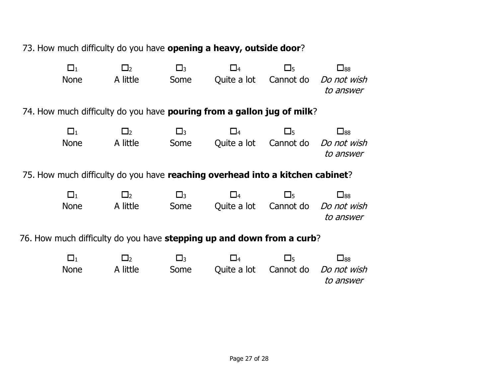73. How much difficulty do you have **opening a heavy, outside door**?